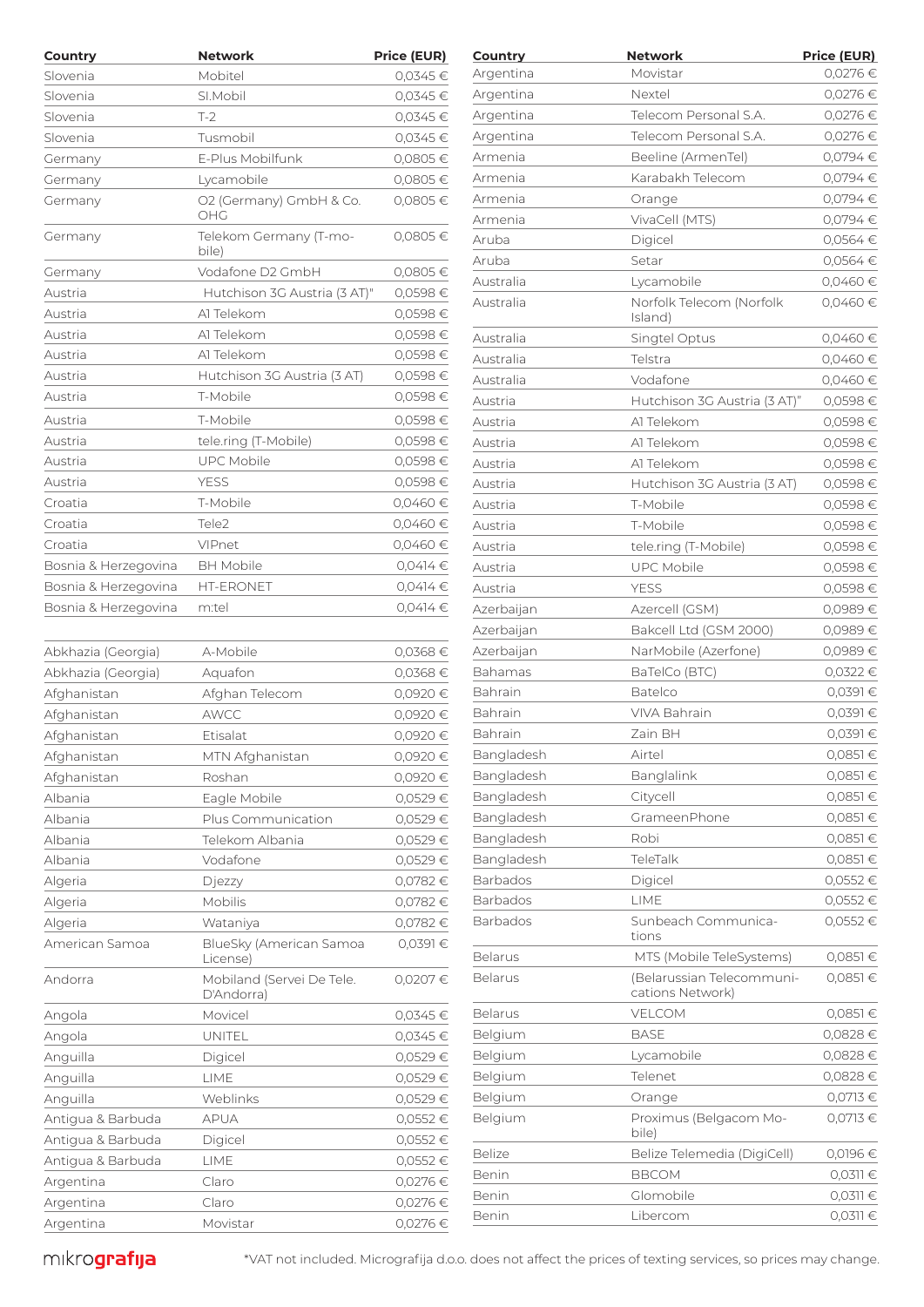| Country              | <b>Network</b>                             | Price (EUR)        | Country    | <b>Network</b>                                | <b>Price (EUR)</b> |
|----------------------|--------------------------------------------|--------------------|------------|-----------------------------------------------|--------------------|
| Slovenia             | Mobitel                                    | 0,0345€            | Argentina  | Movistar                                      | 0,0276 €           |
| Slovenia             | SI.Mobil                                   | 0,0345€            | Argentina  | Nextel                                        | 0,0276 €           |
| Slovenia             | $T-2$                                      | 0,0345€            | Argentina  | Telecom Personal S.A.                         | 0,0276 €           |
| Slovenia             | Tusmobil                                   | 0,0345€            | Argentina  | Telecom Personal S.A.                         | 0,0276 €           |
| Germany              | E-Plus Mobilfunk                           | 0,0805€            | Armenia    | Beeline (ArmenTel)                            | 0,0794 €           |
| Germany              | Lycamobile                                 | 0,0805€            | Armenia    | Karabakh Telecom                              | 0,0794 €           |
| Germany              | O2 (Germany) GmbH & Co.                    | 0,0805€            | Armenia    | Orange                                        | 0,0794€            |
|                      | OHG                                        |                    | Armenia    | VivaCell (MTS)                                | 0,0794 €           |
| Germany              | Telekom Germany (T-mo-<br>bile)            | 0,0805€            | Aruba      | Digicel                                       | $0,0564 \in$       |
|                      | Vodafone D2 GmbH                           | 0,0805€            | Aruba      | Setar                                         | $0,0564 \in$       |
| Germany              |                                            |                    | Australia  | Lycamobile                                    | 0,0460 €           |
| Austria              | Hutchison 3G Austria (3 AT)"<br>Al Telekom | 0,0598€            | Australia  | Norfolk Telecom (Norfolk                      | 0,0460€            |
| Austria<br>Austria   | Al Telekom                                 | 0,0598€<br>0,0598€ |            | Island)                                       |                    |
| Austria              | Al Telekom                                 | 0,0598€            | Australia  | Singtel Optus                                 | 0,0460 €           |
|                      |                                            |                    | Australia  | Telstra                                       | 0,0460 €           |
| Austria              | Hutchison 3G Austria (3 AT)                | 0,0598€            | Australia  | Vodafone                                      | 0,0460€            |
| Austria              | T-Mobile                                   | 0,0598€            | Austria    | Hutchison 3G Austria (3 AT)"                  | 0,0598€            |
| Austria              | T-Mobile                                   | 0,0598€            | Austria    | Al Telekom                                    | 0,0598€            |
| Austria              | tele.ring (T-Mobile)                       | 0,0598€            | Austria    | Al Telekom                                    | 0,0598€            |
| Austria              | <b>UPC Mobile</b>                          | 0,0598€            | Austria    | Al Telekom                                    | 0,0598€            |
| Austria              | <b>YESS</b>                                | 0,0598€            | Austria    | Hutchison 3G Austria (3 AT)                   | 0,0598€            |
| Croatia              | T-Mobile                                   | 0,0460€            | Austria    | T-Mobile                                      | 0,0598€            |
| Croatia              | Tele2                                      | 0,0460€            | Austria    | T-Mobile                                      | 0,0598€            |
| Croatia              | VIPnet                                     | 0,0460€            | Austria    | tele.ring (T-Mobile)                          | 0,0598€            |
| Bosnia & Herzegovina | <b>BH</b> Mobile                           | 0,0414€            | Austria    | <b>UPC Mobile</b>                             | 0,0598€            |
| Bosnia & Herzegovina | <b>HT-ERONET</b>                           | 0,0414€            | Austria    | <b>YESS</b>                                   | 0,0598€            |
| Bosnia & Herzegovina | m:tel                                      | 0,0414€            | Azerbaijan | Azercell (GSM)                                | 0,0989€            |
|                      |                                            |                    | Azerbaijan | Bakcell Ltd (GSM 2000)                        | 0,0989€            |
| Abkhazia (Georgia)   | A-Mobile                                   | $0,0368$ €         | Azerbaijan | NarMobile (Azerfone)                          | 0,0989€            |
| Abkhazia (Georgia)   | Aquafon                                    | 0,0368 €           | Bahamas    | BaTelCo (BTC)                                 | 0,0322 €           |
| Afghanistan          | Afghan Telecom                             | 0,0920€            | Bahrain    | <b>Batelco</b>                                | $0,0391 \in$       |
| Afghanistan          | AWCC                                       | 0,0920€            | Bahrain    | VIVA Bahrain                                  | $0,0391 \in$       |
| Afghanistan          | Etisalat                                   | 0,0920€            | Bahrain    | Zain BH                                       | $0,0391 \in$       |
| Afghanistan          | MTN Afghanistan                            | 0,0920€            | Bangladesh | Airtel                                        | 0,0851€            |
| Afghanistan          | Roshan                                     | 0,0920 €           | Bangladesh | Banglalink                                    | $0,0851$ €         |
| Albania              | Eagle Mobile                               | 0,0529€            | Bangladesh | Citycell                                      | $0,0851$ €         |
| Albania              | Plus Communication                         | 0,0529€            | Bangladesh | GrameenPhone                                  | $0,0851$ €         |
| Albania              | Telekom Albania                            | 0,0529€            | Bangladesh | Robi                                          | $0,0851$ €         |
| Albania              | Vodafone                                   | 0,0529€            | Bangladesh | TeleTalk                                      | $0,0851$ €         |
| Algeria              | Djezzy                                     | 0,0782€            | Barbados   | Digicel                                       | 0,0552€            |
| Algeria              | <b>Mobilis</b>                             | 0,0782€            | Barbados   | LIME                                          | 0,0552€            |
| Algeria              | Wataniya                                   | 0,0782€            | Barbados   | Sunbeach Communica-                           | 0,0552€            |
| American Samoa       | BlueSky (American Samoa                    | 0,0391€            |            | tions                                         |                    |
|                      | License)                                   |                    | Belarus    | MTS (Mobile TeleSystems)                      | $0,0851$ €         |
| Andorra              | Mobiland (Servei De Tele.<br>D'Andorra)    | 0,0207€            | Belarus    | (Belarussian Telecommuni-<br>cations Network) | $0,0851$ €         |
| Angola               | Movicel                                    | 0,0345€            | Belarus    | VELCOM                                        | $0,0851$ €         |
| Angola               | UNITEL                                     | 0,0345€            | Belgium    | <b>BASE</b>                                   | 0,0828€            |
| Anguilla             | Digicel                                    | 0,0529€            | Belgium    | Lycamobile                                    | 0,0828€            |
| Anguilla             | LIME                                       | 0,0529€            | Belgium    | Telenet                                       | 0,0828€            |
| Anguilla             | Weblinks                                   | 0,0529€            | Belgium    | Orange                                        | 0,0713€            |
| Antigua & Barbuda    | <b>APUA</b>                                | $0,0552 \in$       | Belgium    | Proximus (Belgacom Mo-                        | 0,0713€            |
| Antigua & Barbuda    | Digicel                                    | 0,0552€            |            | bile)                                         |                    |
| Antigua & Barbuda    | LIME                                       | 0,0552€            | Belize     | Belize Telemedia (DigiCell)                   | 0,0196€            |
| Argentina            | Claro                                      | 0,0276 €           | Benin      | <b>BBCOM</b>                                  | $0,0311$ €         |
| Argentina            | Claro                                      | 0,0276 €           | Benin      | Glomobile                                     | $0,0311 \in$       |
| Argentina            | Movistar                                   | 0,0276 €           | Benin      | Libercom                                      | $0,0311$ €         |

| Country        | Network                                       | <b>Price (EUR)</b> |
|----------------|-----------------------------------------------|--------------------|
| Argentina      | Movistar                                      | 0,0276 €           |
| Argentina      | Nextel                                        | 0,0276€            |
| Argentina      | Telecom Personal S.A.                         | 0,0276€            |
| Argentina      | Telecom Personal S.A.                         | 0,0276€            |
| Armenia        | Beeline (ArmenTel)                            | 0,0794€            |
| Armenia        | Karabakh Telecom                              | 0,0794€            |
| Armenia        | Orange                                        | 0,0794€            |
| Armenia        | VivaCell (MTS)                                | 0,0794€            |
| Aruba          | Digicel                                       | 0,0564€            |
| Aruba          | Setar                                         | $0,0564$ €         |
| Australia      | Lycamobile                                    | 0,0460€            |
| Australia      | Norfolk Telecom (Norfolk<br>Island)           | 0,0460€            |
| Australia      | Singtel Optus                                 | 0,0460€            |
| Australia      | Telstra                                       | 0,0460€            |
| Australia      | Vodafone                                      | $0,0460 \in$       |
| Austria        | Hutchison 3G Austria (3 AT)"                  | 0,0598€            |
| Austria        | Al Telekom                                    | 0,0598€            |
| Austria        | Al Telekom                                    | 0,0598€            |
| Austria        | A1 Telekom                                    | $0,0598 \in$       |
| Austria        | Hutchison 3G Austria (3 AT)                   | $0,0598 \in$       |
| Austria        | T-Mobile                                      | 0,0598€            |
| Austria        | T-Mobile                                      | 0,0598€            |
| Austria        | tele.ring (T-Mobile)                          | 0,0598€            |
| Austria        | <b>UPC Mobile</b>                             | $0,0598 \in$       |
| Austria        | <b>YESS</b>                                   | 0,0598€            |
|                |                                               | 0,0989€            |
| Azerbaijan     | Azercell (GSM)                                | 0,0989€            |
| Azerbaijan     | Bakcell Ltd (GSM 2000)                        |                    |
| Azerbaijan     | NarMobile (Azerfone)                          | 0,0989€            |
| Bahamas        | BaTelCo (BTC)                                 | 0,0322 €           |
| Bahrain        | Batelco                                       | 0,0391 €           |
| Bahrain        | <b>VIVA Bahrain</b>                           | 0,0391€            |
| Bahrain        | <b>Zain BH</b>                                | 0,0391 €           |
| Bangladesh     | Airtel                                        | 0,0851€            |
| Bangladesh     | Banglalink                                    | 0,0851€            |
| Bangladesh     | Citycell                                      | 0,0851€            |
| Bangladesh     | GrameenPhone                                  | 0,0851 €           |
| Bangladesh     | Robi                                          | 0,0851€            |
| Bangladesh     | TeleTalk                                      | 0,0851€            |
| Barbados       | Digicel                                       | 0,0552€            |
| Barbados       | LIME                                          | 0,0552€            |
| Barbados       | Sunbeach Communica-<br>tions                  | 0,0552€            |
| Belarus        | MTS (Mobile TeleSystems)                      | $0,0851 \in$       |
| Belarus        | (Belarussian Telecommuni-<br>cations Network) | 0,0851€            |
| <b>Belarus</b> | <b>VELCOM</b>                                 | 0,0851 €           |
| Belgium        | <b>BASE</b>                                   | 0,0828€            |
| Belgium        | Lycamobile                                    | 0,0828€            |
| Belgium        | Telenet                                       | 0,0828€            |
| Belgium        | Orange                                        | $0,0713 \in$       |
| Belgium        | Proximus (Belgacom Mo-<br>bile)               | 0,0713€            |
| <b>Belize</b>  | Belize Telemedia (DigiCell)                   | 0,0196€            |
| Benin          | <b>BBCOM</b>                                  | $0,0311 \in$       |
| Benin          | Glomobile                                     | $0,0311 \in$       |
| Benin          | Libercom                                      | $0,0311 \in$       |
|                |                                               |                    |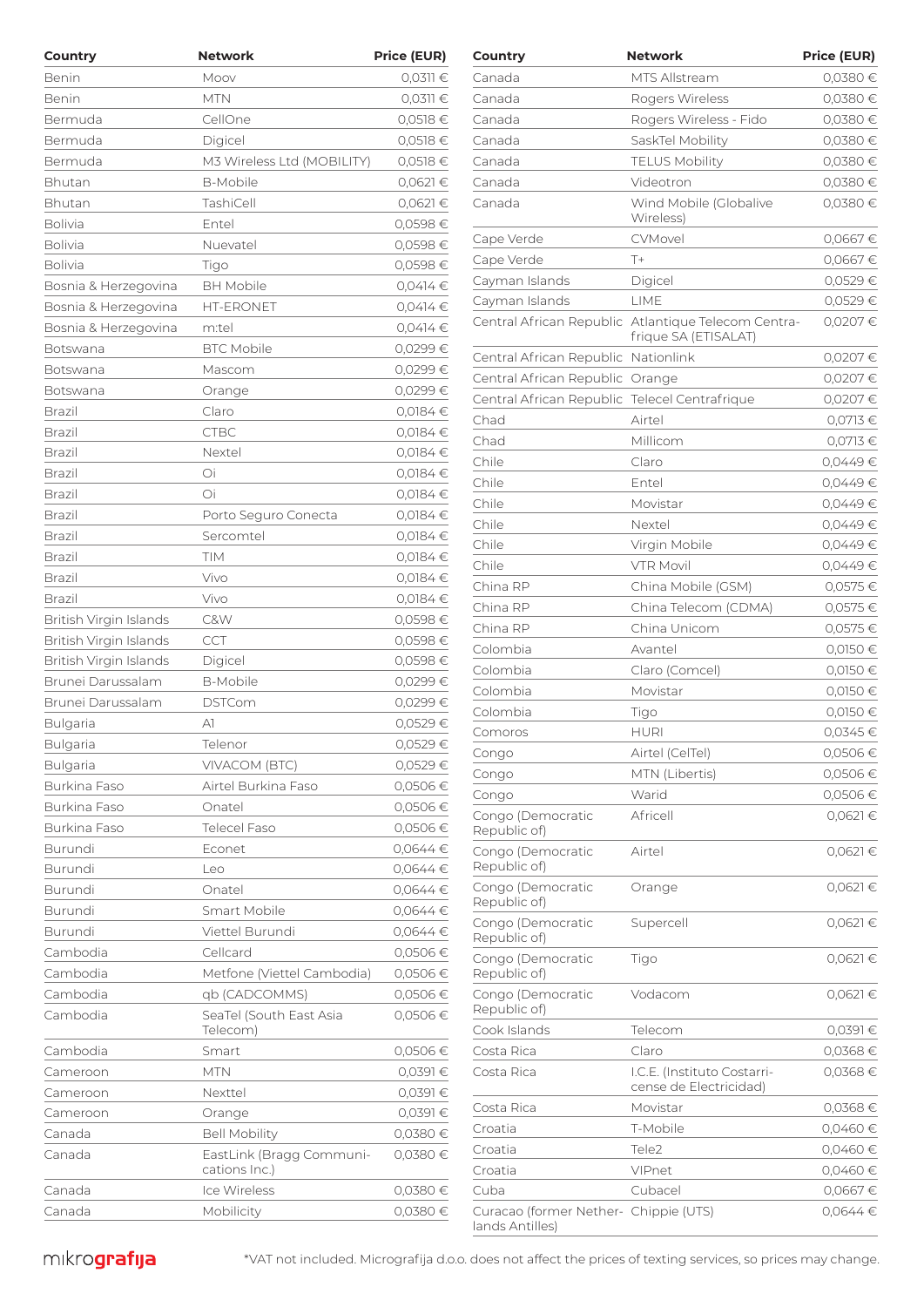| Country                | <b>Network</b>                            | <b>Price (EUR)</b> | Country                                       | <b>Network</b>                                      | <b>Price (EUR)</b> |
|------------------------|-------------------------------------------|--------------------|-----------------------------------------------|-----------------------------------------------------|--------------------|
| Benin                  | Moov                                      | $0,0311 \in$       | Canada                                        | MTS Allstream                                       | $0,0380$ €         |
| Benin                  | <b>MTN</b>                                | $0.0311 \in$       | Canada                                        | Rogers Wireless                                     | 0,0380 €           |
| Bermuda                | CellOne                                   | 0,0518 €           | Canada                                        | Rogers Wireless - Fido                              | 0,0380 €           |
| Bermuda                | Digicel                                   | 0,0518€            | Canada                                        | SaskTel Mobility                                    | 0,0380 €           |
| Bermuda                | M3 Wireless Ltd (MOBILITY)                | 0,0518 €           | Canada                                        | <b>TELUS Mobility</b>                               | 0,0380 €           |
| Bhutan                 | <b>B-Mobile</b>                           | $0,0621 \in$       | Canada                                        | Videotron                                           | 0,0380 €           |
| Bhutan                 | TashiCell                                 | $0,0621 \in$       | Canada                                        | Wind Mobile (Globalive                              | 0,0380 €           |
| <b>Bolivia</b>         | Entel                                     | 0,0598€            |                                               | Wireless)                                           |                    |
| Bolivia                | Nuevatel                                  | 0,0598€            | Cape Verde                                    | CVMovel                                             | 0,0667€            |
| <b>Bolivia</b>         | Tigo                                      | 0,0598€            | Cape Verde                                    | $T+$                                                | 0,0667€            |
| Bosnia & Herzegovina   | <b>BH Mobile</b>                          | 0.0414 €           | Cayman Islands                                | Digicel                                             | 0,0529€            |
| Bosnia & Herzegovina   | <b>HT-ERONET</b>                          | 0,0414€            | Cayman Islands                                | LIME                                                | 0,0529€            |
| Bosnia & Herzegovina   | m:tel                                     | 0.0414 €           |                                               | Central African Republic Atlantique Telecom Centra- | 0,0207€            |
| Botswana               | <b>BTC Mobile</b>                         | 0,0299€            |                                               | frique SA (ETISALAT)                                |                    |
| Botswana               | Mascom                                    | 0,0299€            | Central African Republic Nationlink           |                                                     | 0,0207€            |
| Botswana               | Orange                                    | 0,0299€            | Central African Republic Orange               |                                                     | 0,0207 €           |
| Brazil                 | Claro                                     | 0,0184€            | Central African Republic Telecel Centrafrique |                                                     | 0,0207€            |
| Brazil                 | <b>CTBC</b>                               | 0,0184€            | Chad                                          | Airtel                                              | 0,0713 €           |
| <b>Brazil</b>          | Nextel                                    | 0,0184€            | Chad                                          | Millicom                                            | 0,0713 €           |
| Brazil                 | Oi                                        | 0,0184€            | Chile                                         | Claro                                               | 0,0449€            |
| Brazil                 | Oi                                        | 0,0184€            | Chile                                         | Entel                                               | 0,0449€            |
| Brazil                 | Porto Seguro Conecta                      | 0,0184€            | Chile                                         | Movistar                                            | 0,0449€            |
| Brazil                 | Sercomtel                                 | 0,0184€            | Chile                                         | Nextel                                              | 0,0449€            |
| Brazil                 | TIM                                       | 0,0184€            | Chile                                         | Virgin Mobile                                       | 0,0449€            |
| Brazil                 | Vivo                                      | 0,0184€            | Chile                                         | <b>VTR Movil</b>                                    | 0,0449€            |
| Brazil                 | Vivo                                      | 0,0184€            | China RP                                      | China Mobile (GSM)                                  | 0,0575 €           |
| British Virgin Islands | C&W                                       | 0,0598€            | China RP                                      | China Telecom (CDMA)                                | 0,0575 €           |
| British Virgin Islands | CCT                                       | 0,0598€            | China RP                                      | China Unicom                                        | 0,0575 €           |
| British Virgin Islands | Digicel                                   | 0,0598€            | Colombia                                      | Avantel                                             | 0,0150 €           |
| Brunei Darussalam      | <b>B-Mobile</b>                           | 0,0299€            | Colombia                                      | Claro (Comcel)                                      | $0,0150$ €         |
| Brunei Darussalam      | <b>DSTCom</b>                             | 0,0299€            | Colombia                                      | Movistar                                            | $0,0150$ €         |
| <b>Bulgaria</b>        | A1                                        | 0,0529€            | Colombia                                      | Tigo                                                | $0,0150$ €         |
| <b>Bulgaria</b>        | Telenor                                   | 0,0529€            | Comoros                                       | <b>HURI</b>                                         | 0,0345€            |
| <b>Bulgaria</b>        | VIVACOM (BTC)                             | 0,0529€            | Congo                                         | Airtel (CelTel)                                     | 0,0506€            |
| Burkina Faso           | Airtel Burkina Faso                       | 0,0506€            | Congo                                         | MTN (Libertis)                                      | 0,0506€            |
| Burkina Faso           | Onatel                                    | 0,0506€            | Congo                                         | Warid                                               | 0,0506€            |
| Burkina Faso           | <b>Telecel Faso</b>                       | 0,0506€            | Congo (Democratic<br>Republic of)             | Africell                                            | $0,0621$ €         |
| Burundi                | Econet                                    | $0,0644$ €         | Congo (Democratic                             | Airtel                                              | $0,0621$ €         |
| Burundi                | Leo                                       | $0.0644 \in$       | Republic of)                                  |                                                     |                    |
| Burundi                | Onatel                                    | $0.0644 \in$       | Congo (Democratic                             | Orange                                              | $0,0621 \in$       |
| Burundi                | Smart Mobile                              | 0,0644€            | Republic of)                                  |                                                     |                    |
| Burundi                | Viettel Burundi                           | $0,0644$ €         | Congo (Democratic                             | Supercell                                           | $0,0621 \in$       |
| Cambodia               | Cellcard                                  | 0,0506€            | Republic of)<br>Congo (Democratic             |                                                     | $0,0621 \in$       |
| Cambodia               | Metfone (Viettel Cambodia)                | 0,0506€            | Republic of)                                  | Tigo                                                |                    |
| Cambodia               | qb (CADCOMMS)                             | 0,0506€            | Congo (Democratic                             | Vodacom                                             | $0,0621$ €         |
| Cambodia               | SeaTel (South East Asia<br>Telecom)       | 0,0506€            | Republic of)<br>Cook Islands                  | Telecom                                             | $0,0391$ €         |
| Cambodia               | Smart                                     | 0,0506€            | Costa Rica                                    | Claro                                               | 0,0368€            |
| Cameroon               | <b>MTN</b>                                | 0,0391€            | Costa Rica                                    | I.C.E. (Instituto Costarri-                         | $0,0368$ €         |
| Cameroon               | Nexttel                                   | 0,0391€            |                                               | cense de Electricidad)                              |                    |
| Cameroon               | Orange                                    | 0,0391€            | Costa Rica                                    | Movistar                                            | $0,0368$ €         |
| Canada                 | <b>Bell Mobility</b>                      | 0,0380€            | Croatia                                       | T-Mobile                                            | 0,0460 €           |
|                        |                                           |                    | Croatia                                       | Tele2                                               | 0,0460 €           |
| Canada                 | EastLink (Bragg Communi-<br>cations Inc.) | 0,0380 €           | Croatia                                       | VIPnet                                              | 0,0460 €           |
| Canada                 | Ice Wireless                              | 0,0380€            | Cuba                                          | Cubacel                                             | 0,0667€            |
| Canada                 | Mobilicity                                | 0,0380 €           | Curacao (former Nether- Chippie (UTS)         |                                                     | $0,0644 \in$       |
|                        |                                           |                    |                                               |                                                     |                    |

| Country                                                  |                                                       | PIICE (EUR)  |
|----------------------------------------------------------|-------------------------------------------------------|--------------|
| Canada                                                   | MTS Allstream                                         | 0,0380€      |
| Canada                                                   | Rogers Wireless                                       | 0,0380 €     |
| Canada                                                   | Rogers Wireless - Fido                                | 0,0380 €     |
| Canada                                                   | SaskTel Mobility                                      | 0,0380€      |
| Canada                                                   | <b>TELUS Mobility</b>                                 | 0,0380€      |
| Canada                                                   | Videotron                                             | 0,0380 €     |
| Canada                                                   | Wind Mobile (Globalive<br>Wireless)                   | 0,0380€      |
| Cape Verde                                               | CVMovel                                               | 0,0667€      |
| Cape Verde                                               | $T+$                                                  | 0,0667€      |
| Cayman Islands                                           | Digicel                                               | 0,0529€      |
| Cayman Islands                                           | LIME                                                  | 0,0529€      |
| Central African Republic                                 | Atlantique Telecom Centra-<br>frique SA (ETISALAT)    | 0,0207€      |
| Central African Republic                                 | Nationlink                                            | 0,0207€      |
| Central African Republic                                 | Orange                                                | 0,0207€      |
| Central African Republic                                 | <b>Telecel Centrafrique</b>                           | 0,0207€      |
| Chad                                                     | Airtel                                                | 0,0713€      |
| Chad                                                     | Millicom                                              | 0,0713€      |
| Chile                                                    | Claro                                                 | 0,0449€      |
| Chile                                                    | Entel                                                 | 0,0449€      |
| Chile                                                    | Movistar                                              | 0,0449€      |
| Chile                                                    | Nextel                                                | 0,0449€      |
| Chile                                                    | Virgin Mobile                                         | 0,0449€      |
| Chile                                                    | <b>VTR Movil</b>                                      | 0,0449€      |
| China RP                                                 | China Mobile (GSM)                                    | 0,0575€      |
| China RP                                                 | China Telecom (CDMA)                                  | 0,0575€      |
| China RP                                                 | China Unicom                                          | 0,0575€      |
| Colombia                                                 | Avantel                                               | 0,0150€      |
| Colombia                                                 | Claro (Comcel)                                        | 0,0150€      |
| Colombia                                                 | Movistar                                              | 0,0150 €     |
| Colombia                                                 | Tigo                                                  | 0,0150€      |
| Comoros                                                  | <b>HURI</b>                                           | 0,0345 €     |
| Congo                                                    | Airtel (CelTel)                                       | 0,0506€      |
| Congo                                                    | MTN (Libertis)                                        | 0,0506€      |
| Congo                                                    | Warid                                                 | 0,0506€      |
| Congo (Democratic<br>Republic of)                        | Africell                                              | $0,0621 \in$ |
| Congo (Democratic<br>Republic of)                        | Airtel                                                | $0,0621 \in$ |
| Congo (Democratic<br>Republic of)                        | Orange                                                | $0,0621 \in$ |
| Congo (Democratic<br>Republic of)                        | Supercell                                             | 0,0621€      |
| Congo (Democratic<br>Republic of)                        | Tigo                                                  | $0,0621 \in$ |
| Congo (Democratic<br>Republic of)                        | Vodacom                                               | $0,0621 \in$ |
| Cook Islands                                             | Telecom                                               | 0,0391€      |
| Costa Rica                                               | Claro                                                 | 0,0368€      |
| Costa Rica                                               | I.C.E. (Instituto Costarri-<br>cense de Electricidad) | 0,0368€      |
| Costa Rica                                               | Movistar                                              | 0,0368€      |
| Croatia                                                  | T-Mobile                                              | 0,0460€      |
| Croatia                                                  | Tele2                                                 | 0,0460€      |
| Croatia                                                  | VIPnet                                                | 0,0460€      |
| Cuba                                                     | Cubacel                                               | 0,0667€      |
| Curacao (former Nether- Chippie (UTS)<br>lands Antilles) |                                                       | 0,0644€      |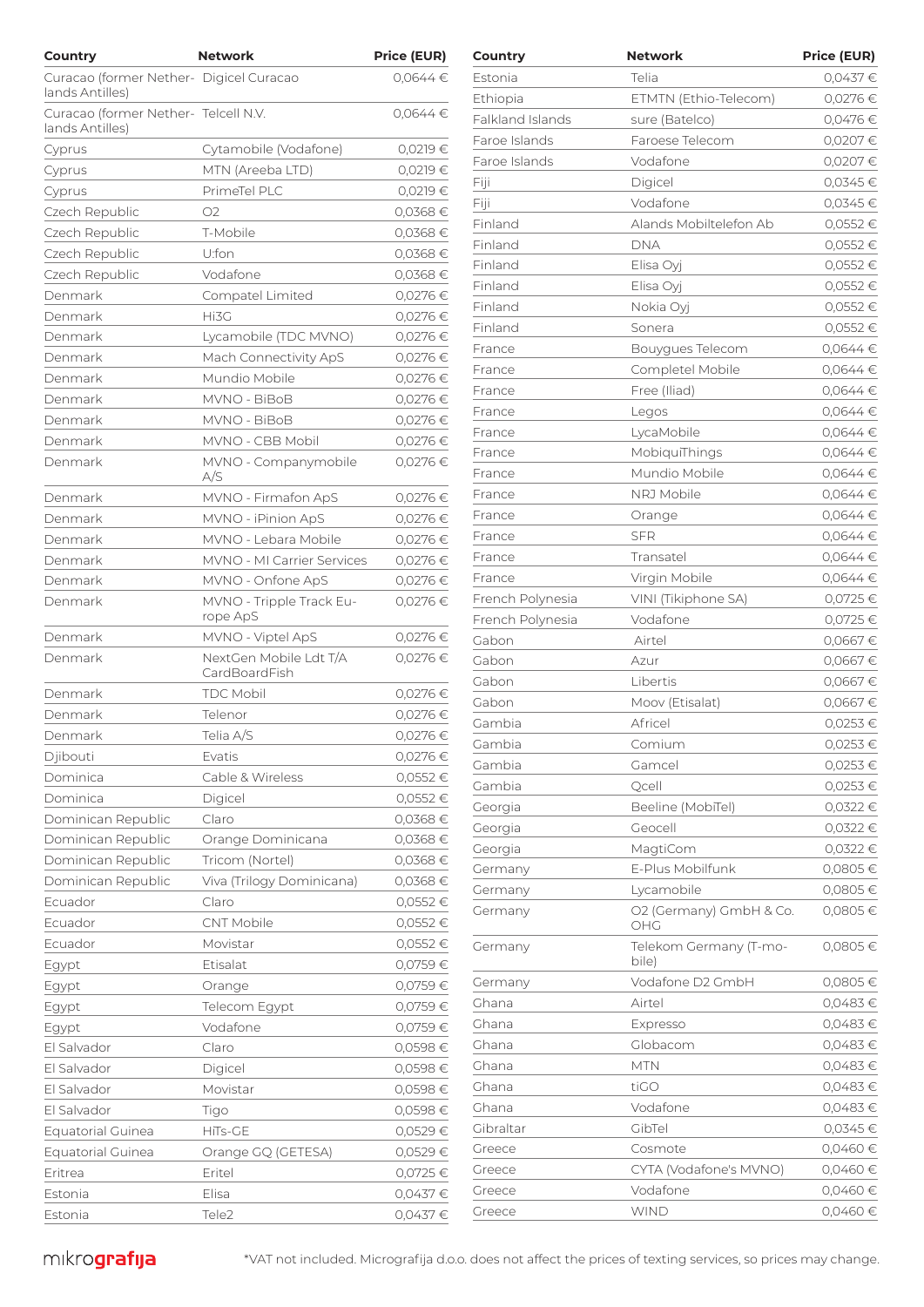| Country                                                 | <b>Network</b>              | <b>Price (EUR)</b>   | Country          | <b>Network</b>          | <b>Price (EUR)</b> |
|---------------------------------------------------------|-----------------------------|----------------------|------------------|-------------------------|--------------------|
| Curacao (former Nether- Digicel Curacao                 |                             | $0.0644 \in$         | Estonia          | Telia                   | 0,0437€            |
| lands Antilles)                                         |                             |                      | Ethiopia         | ETMTN (Ethio-Telecom)   | 0,0276 €           |
| Curacao (former Nether- Telcell N.V.<br>lands Antilles) |                             | $0,0644$ €           | Falkland Islands | sure (Batelco)          | 0,0476€            |
|                                                         | Cytamobile (Vodafone)       | 0,0219 €             | Faroe Islands    | Faroese Telecom         | 0,0207€            |
| Cyprus                                                  | MTN (Areeba LTD)            | 0,0219 €             | Faroe Islands    | Vodafone                | 0,0207€            |
| Cyprus                                                  | PrimeTel PLC                | 0,0219 €             | Fiji             | Digicel                 | $0,0345$ €         |
| Cyprus<br>Czech Republic                                | O <sub>2</sub>              | 0,0368€              | Fiji             | Vodafone                | 0,0345€            |
| Czech Republic                                          | T-Mobile                    | 0,0368€              | Finland          | Alands Mobiltelefon Ab  | 0,0552€            |
| Czech Republic                                          | U:fon                       | 0,0368€              | Finland          | <b>DNA</b>              | 0,0552€            |
| Czech Republic                                          | Vodafone                    | $0,0368 \in$         | Finland          | Elisa Oyj               | 0,0552€            |
| Denmark                                                 |                             |                      | Finland          | Elisa Oyj               | 0,0552€            |
| Denmark                                                 | Compatel Limited<br>Hi3G    | 0,0276 €<br>0,0276 € | Finland          | Nokia Oyj               | 0,0552€            |
|                                                         |                             |                      | Finland          | Sonera                  | 0,0552€            |
| Denmark                                                 | Lycamobile (TDC MVNO)       | 0,0276 €             | France           | Bouygues Telecom        | $0,0644 \in$       |
| Denmark                                                 | Mach Connectivity ApS       | 0,0276€              | France           | Completel Mobile        | $0,0644 \in$       |
| Denmark                                                 | Mundio Mobile               | 0,0276 €             | France           | Free (Iliad)            | $0.0644 \in$       |
| Denmark                                                 | MVNO - BiBoB                | 0,0276 €             | France           | Legos                   | $0,0644 \in$       |
| Denmark                                                 | MVNO - BiBoB                | 0,0276 €             | France           | LycaMobile              | $0,0644 \in$       |
| Denmark                                                 | MVNO - CBB Mobil            | 0,0276€              | France           | MobiquiThings           | $0,0644 \in$       |
| Denmark                                                 | MVNO - Companymobile<br>A/S | 0,0276 €             | France           | Mundio Mobile           | $0,0644 \in$       |
| Denmark                                                 | MVNO - Firmafon ApS         | 0,0276€              | France           | NRJ Mobile              | $0,0644 \in$       |
| Denmark                                                 | MVNO - iPinion ApS          | 0,0276 €             | France           | Orange                  | $0,0644 \in$       |
| Denmark                                                 | MVNO - Lebara Mobile        | 0,0276 €             | France           | <b>SFR</b>              | 0,0644 €           |
| Denmark                                                 | MVNO - MI Carrier Services  | 0,0276€              | France           | Transatel               | $0,0644 \in$       |
| Denmark                                                 | MVNO - Onfone ApS           | 0,0276€              | France           | Virgin Mobile           | $0,0644 \in$       |
| Denmark                                                 | MVNO - Tripple Track Eu-    | 0,0276 €             | French Polynesia | VINI (Tikiphone SA)     | 0,0725 €           |
|                                                         | rope ApS                    |                      | French Polynesia | Vodafone                | $0,0725 \in$       |
| Denmark                                                 | MVNO - Viptel ApS           | 0,0276 €             | Gabon            | Airtel                  | 0,0667€            |
| Denmark                                                 | NextGen Mobile Ldt T/A      | $0,0276 \in$         | Gabon            | Azur                    | 0,0667€            |
|                                                         | CardBoardFish               |                      | Gabon            | Libertis                | 0,0667€            |
| Denmark                                                 | <b>TDC Mobil</b>            | 0,0276 €             | Gabon            | Moov (Etisalat)         | 0,0667€            |
| Denmark                                                 | Telenor                     | 0,0276 €             | Gambia           | Africel                 | $0,0253$ €         |
| Denmark                                                 | Telia A/S                   | 0,0276 €             | Gambia           | Comium                  | $0,0253$ €         |
| Djibouti                                                | Evatis                      | 0,0276 €             | Gambia           | Gamcel                  | 0,0253€            |
| Dominica                                                | Cable & Wireless            | 0,0552€              | Gambia           | Qcell                   | $0,0253 \in$       |
| Dominica                                                | Digicel                     | 0,0552€              | Georgia          | Beeline (MobiTel)       | $0,0322$ €         |
| Dominican Republic                                      | Claro                       | $0,0368 \in$         | Georgia          | Geocell                 | 0,0322 €           |
| Dominican Republic                                      | Orange Dominicana           | $0,0368 \in$         | Georgia          | MagtiCom                | 0,0322 €           |
| Dominican Republic                                      | Tricom (Nortel)             | $0,0368 \in$         | Germany          | E-Plus Mobilfunk        | 0,0805€            |
| Dominican Republic                                      | Viva (Trilogy Dominicana)   | 0,0368 €             | Germany          | Lycamobile              | 0,0805€            |
| Ecuador                                                 | Claro                       | $0,0552 \in$         | Germany          | O2 (Germany) GmbH & Co. | 0,0805€            |
| Ecuador                                                 | CNT Mobile                  | 0,0552€              |                  | OHG                     |                    |
| Ecuador                                                 | Movistar                    | $0,0552 \in$         | Germany          | Telekom Germany (T-mo-  | 0,0805€            |
| Egypt                                                   | Etisalat                    | 0,0759€              |                  | bile)                   |                    |
| Egypt                                                   | Orange                      | 0,0759€              | Germany          | Vodafone D2 GmbH        | 0,0805€            |
| Egypt                                                   | Telecom Egypt               | 0,0759€              | Ghana            | Airtel                  | 0,0483€            |
| Egypt                                                   | Vodafone                    | 0,0759€              | Ghana            | Expresso                | 0,0483€            |
| El Salvador                                             | Claro                       | 0,0598€              | Ghana            | Globacom                | $0,0483$ €         |
| El Salvador                                             | Digicel                     | 0,0598€              | Ghana            | <b>MTN</b>              | 0,0483€            |
| El Salvador                                             | Movistar                    | 0,0598€              | Ghana            | tiGO                    | 0,0483€            |
| El Salvador                                             | Tigo                        | 0,0598€              | Ghana            | Vodafone                | 0,0483€            |
| <b>Equatorial Guinea</b>                                | HiTs-GE                     | 0,0529€              | Gibraltar        | GibTel                  | 0,0345 €           |
| <b>Equatorial Guinea</b>                                | Orange GQ (GETESA)          | 0,0529€              | Greece           | Cosmote                 | 0,0460 €           |
| Eritrea                                                 | Eritel                      | 0,0725 €             | Greece           | CYTA (Vodafone's MVNO)  | 0,0460 €           |
| Estonia                                                 | Elisa                       | 0,0437€              | Greece           | Vodafone                | 0,0460 €           |
| Estonia                                                 | Tele2                       | 0,0437€              | Greece           | <b>WIND</b>             | 0,0460 €           |

| Country          | Network                         | <b>Price (EUR)</b> |
|------------------|---------------------------------|--------------------|
| Estonia          | Telia                           | 0,0437€            |
| Ethiopia         | ETMTN (Ethio-Telecom)           | 0,0276 €           |
| Falkland Islands | sure (Batelco)                  | 0,0476€            |
| Faroe Islands    | Faroese Telecom                 | 0,0207€            |
| Faroe Islands    | Vodafone                        | 0,0207€            |
| Fiji             | Digicel                         | 0,0345€            |
| Fiji             | Vodafone                        | 0,0345€            |
| Finland          | Alands Mobiltelefon Ab          | $0,0552 \in$       |
| Finland          | <b>DNA</b>                      | 0,0552€            |
| Finland          | Elisa Oyj                       | 0,0552€            |
| Finland          | Elisa Oyj                       | 0,0552€            |
| Finland          | Nokia Oyj                       | 0,0552€            |
| Finland          | Sonera                          | 0,0552€            |
| France           | Bouygues Telecom                | 0,0644€            |
| France           | Completel Mobile                | 0,0644€            |
| France           | Free (Iliad)                    | $0,0644$ €         |
| France           | Legos                           | $0,0644$ €         |
| France           | LycaMobile                      | $0,0644$ €         |
| France           | MobiquiThings                   | 0,0644€            |
| France           | Mundio Mobile                   | $0.0644 \in$       |
| France           | NRJ Mobile                      | 0,0644€            |
| France           | Orange                          | 0,0644€            |
| France           | SFR                             | 0,0644€            |
| France           | Transatel                       | $0,0644$ €         |
| France           | Virgin Mobile                   | 0,0644€            |
| French Polynesia | VINI (Tikiphone SA)             | 0,0725 €           |
| French Polynesia | Vodafone                        | 0,0725 €           |
| Gabon            | Airtel                          | 0,0667€            |
| Gabon            | Azur                            | 0,0667€            |
| Gabon            | Libertis                        | 0,0667€            |
| Gabon            | Moov (Etisalat)                 | 0,0667€            |
| Gambia           | Africel                         | 0,0253€            |
| Gambia           | Comium                          | 0,0253 €           |
| Gambia           | Gamcel                          | 0,0253 €           |
| Gambia           | Qcell                           | 0,0253€            |
| Georgia          | Beeline (MobiTel)               | 0,0322 €           |
| Georgia          | Geocell                         | 0,0322 €           |
| Georgia          | MagtiCom                        | 0,0322 €           |
| Germany          | E-Plus Mobilfunk                | 0,0805€            |
| Germany          | Lycamobile                      | 0,0805€            |
| Germany          | O2 (Germany) GmbH & Co.<br>OHG  | 0,0805€            |
| Germany          | Telekom Germany (T-mo-<br>bile) | 0,0805€            |
| Germany          | Vodafone D2 GmbH                | 0,0805€            |
| Ghana            | Airtel                          | 0,0483€            |
| Ghana            | Expresso                        | 0,0483€            |
| Ghana            | Globacom                        | 0,0483€            |
| Ghana            | <b>MTN</b>                      | 0,0483€            |
| Ghana            | tiGO                            | 0,0483€            |
| Ghana            | Vodafone                        | 0,0483€            |
| Gibraltar        | GibTel                          | $0,0345 \in$       |
| Greece           | Cosmote                         | 0,0460€            |
| Greece           | CYTA (Vodafone's MVNO)          | 0,0460€            |
| Greece           | Vodafone                        | $0,0460 \in$       |
| Greece           | <b>WIND</b>                     | 0,0460€            |
|                  |                                 |                    |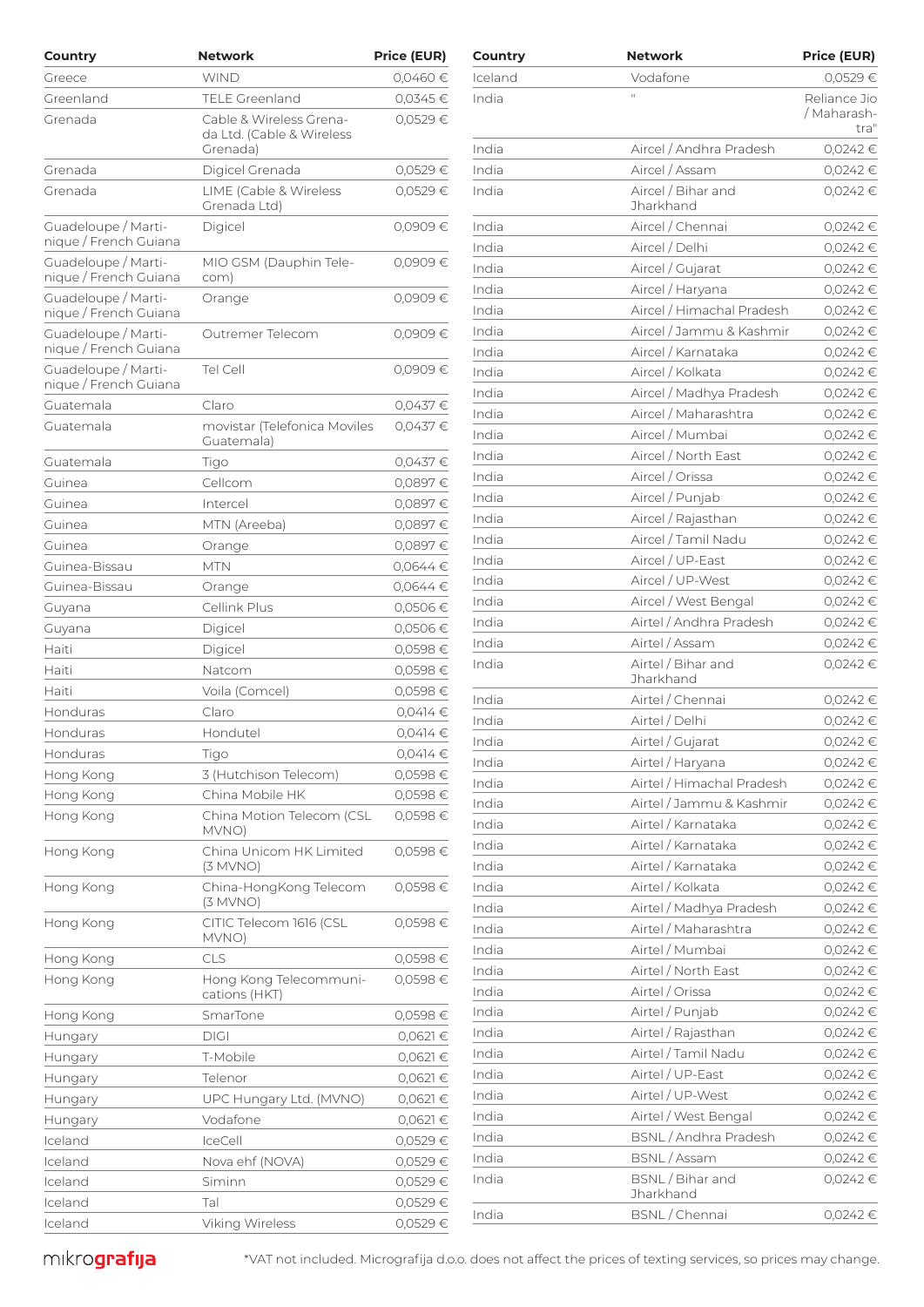| Country                                      | <b>Network</b>                                       | Price (EUR)  | Country | <b>Network</b>                  | <b>Price (EUR)</b> |
|----------------------------------------------|------------------------------------------------------|--------------|---------|---------------------------------|--------------------|
| Greece                                       | <b>WIND</b>                                          | $0,0460 \in$ | Iceland | Vodafone                        | 0,0529€            |
| Greenland                                    | <b>TELE Greenland</b>                                | 0,0345€      | India   | $\mathbb{H}^+$                  | Reliance Jio       |
| Grenada                                      | Cable & Wireless Grena-<br>da Ltd. (Cable & Wireless | 0,0529€      |         |                                 | / Maharash<br>tra  |
|                                              | Grenada)                                             |              | India   | Aircel / Andhra Pradesh         | 0,0242€            |
| Grenada                                      | Digicel Grenada                                      | 0,0529€      | India   | Aircel / Assam                  | 0,0242 €           |
| Grenada                                      | LIME (Cable & Wireless<br>Grenada Ltd)               | 0,0529€      | India   | Aircel / Bihar and<br>Jharkhand | 0,0242€            |
| Guadeloupe / Marti-                          | Digicel                                              | 0,0909€      | India   | Aircel / Chennai                | 0,0242€            |
| nique / French Guiana                        |                                                      |              | India   | Aircel / Delhi                  | $0,0242$ €         |
| Guadeloupe / Marti-<br>nique / French Guiana | MIO GSM (Dauphin Tele-<br>com)                       | 0,0909€      | India   | Aircel / Gujarat                | 0,0242€            |
| Guadeloupe / Marti-                          | Orange                                               | 0,0909€      | India   | Aircel / Haryana                | 0,0242€            |
| nique / French Guiana                        |                                                      |              | India   | Aircel / Himachal Pradesh       | 0,0242€            |
| Guadeloupe / Marti-                          | Outremer Telecom                                     | 0,0909€      | India   | Aircel / Jammu & Kashmir        | 0,0242€            |
| nique / French Guiana                        |                                                      |              | India   | Aircel / Karnataka              | 0,0242 €           |
| Guadeloupe / Marti-<br>nique / French Guiana | Tel Cell                                             | 0,0909€      | India   | Aircel / Kolkata                | 0,0242€            |
|                                              |                                                      |              | India   | Aircel / Madhya Pradesh         | 0,0242€            |
| Guatemala                                    | Claro                                                | 0,0437€      | India   | Aircel / Maharashtra            | 0,0242 €           |
| Guatemala                                    | movistar (Telefonica Moviles<br>Guatemala)           | 0,0437€      | India   | Aircel / Mumbai                 | 0,0242€            |
| Guatemala                                    | Tigo                                                 | 0,0437€      | India   | Aircel / North East             | 0,0242 €           |
| Guinea                                       | Cellcom                                              | 0,0897€      | India   | Aircel / Orissa                 | 0,0242€            |
| Guinea                                       | Intercel                                             | 0,0897€      | India   | Aircel / Punjab                 | 0,0242€            |
| Guinea                                       | MTN (Areeba)                                         | 0,0897€      | India   | Aircel / Rajasthan              | 0,0242€            |
| Guinea                                       | Orange                                               | 0,0897€      | India   | Aircel / Tamil Nadu             | 0,0242 €           |
| Guinea-Bissau                                | <b>MTN</b>                                           | $0,0644$ €   | India   | Aircel / UP-East                | 0,0242€            |
| Guinea-Bissau                                |                                                      | $0,0644$ €   | India   | Aircel / UP-West                | 0,0242€            |
|                                              | Orange<br>Cellink Plus                               | 0,0506€      | India   | Aircel / West Bengal            | 0,0242€            |
| Guyana                                       |                                                      |              | India   | Airtel / Andhra Pradesh         | $0,0242 \in$       |
| Guyana                                       | Digicel                                              | 0,0506€      | India   | Airtel / Assam                  | 0,0242€            |
| Haiti                                        | Digicel                                              | 0,0598€      | India   | Airtel / Bihar and              | 0,0242€            |
| Haiti                                        | Natcom                                               | 0.0598€      |         | Jharkhand                       |                    |
| Haiti                                        | Voila (Comcel)                                       | 0,0598€      | India   | Airtel / Chennai                | 0,0242 €           |
| Honduras                                     | Claro                                                | $0,0414$ €   | India   | Airtel / Delhi                  | 0,0242€            |
| Honduras                                     | Hondutel                                             | $0,0414 \in$ | India   | Airtel / Gujarat                | $0,0242 \in$       |
| Honduras                                     | Tigo                                                 | $0,0414$ €   | India   | Airtel / Haryana                | 0,0242 €           |
| Hong Kong                                    | 3 (Hutchison Telecom)                                | 0,0598€      | India   | Airtel / Himachal Pradesh       | 0,0242 €           |
| Hong Kong                                    | China Mobile HK                                      | 0,0598€      | India   | Airtel / Jammu & Kashmir        | 0,0242 €           |
| Hong Kong                                    | China Motion Telecom (CSL<br>MVNO)                   | 0,0598€      | India   | Airtel / Karnataka              | 0,0242 €           |
|                                              |                                                      |              | India   | Airtel / Karnataka              | 0,0242€            |
| Hong Kong                                    | China Unicom HK Limited<br>(3 M VNO)                 | 0,0598€      | India   | Airtel / Karnataka              | 0,0242 €           |
| Hong Kong                                    | China-HongKong Telecom                               | 0,0598€      | India   | Airtel / Kolkata                | 0,0242€            |
|                                              | (3 MVNO)                                             |              | India   | Airtel / Madhya Pradesh         | 0,0242 €           |
| Hong Kong                                    | CITIC Telecom 1616 (CSL<br>MVNO)                     | 0,0598€      | India   | Airtel / Maharashtra            | 0,0242 €           |
| Hong Kong                                    | <b>CLS</b>                                           | 0,0598€      | India   | Airtel / Mumbai                 | 0,0242 €           |
| Hong Kong                                    | Hong Kong Telecommuni-                               | 0,0598€      | India   | Airtel / North East             | 0,0242 €           |
|                                              | cations (HKT)                                        |              | India   | Airtel / Orissa                 | 0,0242 €           |
| Hong Kong                                    | SmarTone                                             | 0,0598€      | India   | Airtel / Punjab                 | 0,0242 €           |
| Hungary                                      | <b>DIGI</b>                                          | $0,0621 \in$ | India   | Airtel / Rajasthan              | 0,0242 €           |
| Hungary                                      | T-Mobile                                             | 0,0621€      | India   | Airtel / Tamil Nadu             | 0,0242€            |
| Hungary                                      | Telenor                                              | 0,0621€      | India   | Airtel / UP-East                | 0,0242 €           |
| Hungary                                      | UPC Hungary Ltd. (MVNO)                              | 0,0621€      | India   | Airtel / UP-West                | 0,0242 €           |
| Hungary                                      | Vodafone                                             | 0,0621€      | India   | Airtel / West Bengal            | 0,0242 €           |
| Iceland                                      | IceCell                                              | 0,0529€      | India   | BSNL / Andhra Pradesh           | 0,0242 €           |
| Iceland                                      | Nova ehf (NOVA)                                      | 0,0529€      | India   | BSNL / Assam                    | 0,0242 €           |
| Iceland                                      | Siminn                                               | 0,0529€      | India   | BSNL / Bihar and<br>Jharkhand   | 0,0242 €           |
| Iceland                                      | Tal                                                  | 0,0529€      | India   | BSNL / Chennai                  | 0,0242€            |
| Iceland                                      | Viking Wireless                                      | 0,0529€      |         |                                 |                    |

| country | Network                         | <b>Price (EUR)</b>                  |
|---------|---------------------------------|-------------------------------------|
| Iceland | Vodafone                        | 0,0529€                             |
| India   | Ĥ.                              | Reliance Jio<br>/ Maharash-<br>tra" |
| India   | Aircel / Andhra Pradesh         | 0,0242€                             |
| India   | Aircel / Assam                  | 0,0242€                             |
| India   | Aircel / Bihar and<br>Jharkhand | $0,0242 \in$                        |
| India   | Aircel / Chennai                | $0,0242 \in$                        |
| India   | Aircel / Delhi                  | $0,0242 \in$                        |
| India   | Aircel / Gujarat                | 0,0242€                             |
| India   | Aircel / Haryana                | $0,0242 \in$                        |
| India   | Aircel / Himachal Pradesh       | 0,0242€                             |
| India   | Aircel / Jammu & Kashmir        | 0,0242€                             |
| India   | Aircel / Karnataka              | 0,0242€                             |
| India   | Aircel / Kolkata                | 0,0242€                             |
| India   | Aircel / Madhya Pradesh         | 0,0242€                             |
| India   | Aircel / Maharashtra            | 0,0242€                             |
| India   | Aircel / Mumbai                 | 0,0242€                             |
| India   | Aircel / North East             | 0,0242€                             |
| India   | Aircel / Orissa                 | $0,0242 \in$                        |
| India   | Aircel / Punjab                 | 0,0242€                             |
| India   | Aircel / Rajasthan              | 0,0242€                             |
| India   | Aircel / Tamil Nadu             | 0,0242€                             |
| India   | Aircel / UP-East                | $0,0242 \in$                        |
| India   | Aircel / UP-West                | $0,0242 \in$                        |
| India   | Aircel / West Bengal            | $0,0242 \in$                        |
| India   | Airtel / Andhra Pradesh         | 0,0242€                             |
| India   | Airtel / Assam                  | 0,0242€                             |
| India   | Airtel / Bihar and<br>Jharkhand | 0,0242€                             |
| India   | Airtel / Chennai                | 0,0242€                             |
| India   | Airtel / Delhi                  | $0,0242 \in$                        |
| India   | Airtel / Gujarat                | 0,0242€                             |
| India   | Airtel / Haryana                | 0,0242€                             |
| India   | Airtel / Himachal Pradesh       | 0,0242€                             |
| India   | Airtel / Jammu & Kashmir        | 0,0242€                             |
| India   | Airtel / Karnataka              | 0,0242€                             |
| India   | Airtel / Karnataka              | 0,0242€                             |
| India   | Airtel / Karnataka              | 0,0242€                             |
| India   | Airtel / Kolkata                | 0,0242€                             |
| India   | Airtel / Madhya Pradesh         | 0,0242€                             |
| India   | Airtel / Maharashtra            | 0,0242€                             |
| India   | Airtel / Mumbai                 | 0,0242€                             |
| India   | Airtel / North East             | 0,0242€                             |
| India   | Airtel / Orissa                 | 0,0242€                             |
| India   | Airtel / Punjab                 | 0,0242€                             |
| India   | Airtel / Rajasthan              | 0,0242€                             |
| India   | Airtel / Tamil Nadu             | 0,0242€                             |
| India   | Airtel / UP-East                | 0,0242€                             |
| India   | Airtel / UP-West                | 0,0242€                             |
| India   | Airtel / West Bengal            | 0,0242€                             |
| India   | BSNL / Andhra Pradesh           | $0,0242 \in$                        |
| India   | BSNL / Assam                    | $0,0242 \in$                        |
| India   | BSNL / Bihar and<br>Jharkhand   | 0,0242€                             |
| India   | BSNL/Chennai                    | 0,0242€                             |

 $m$ krografija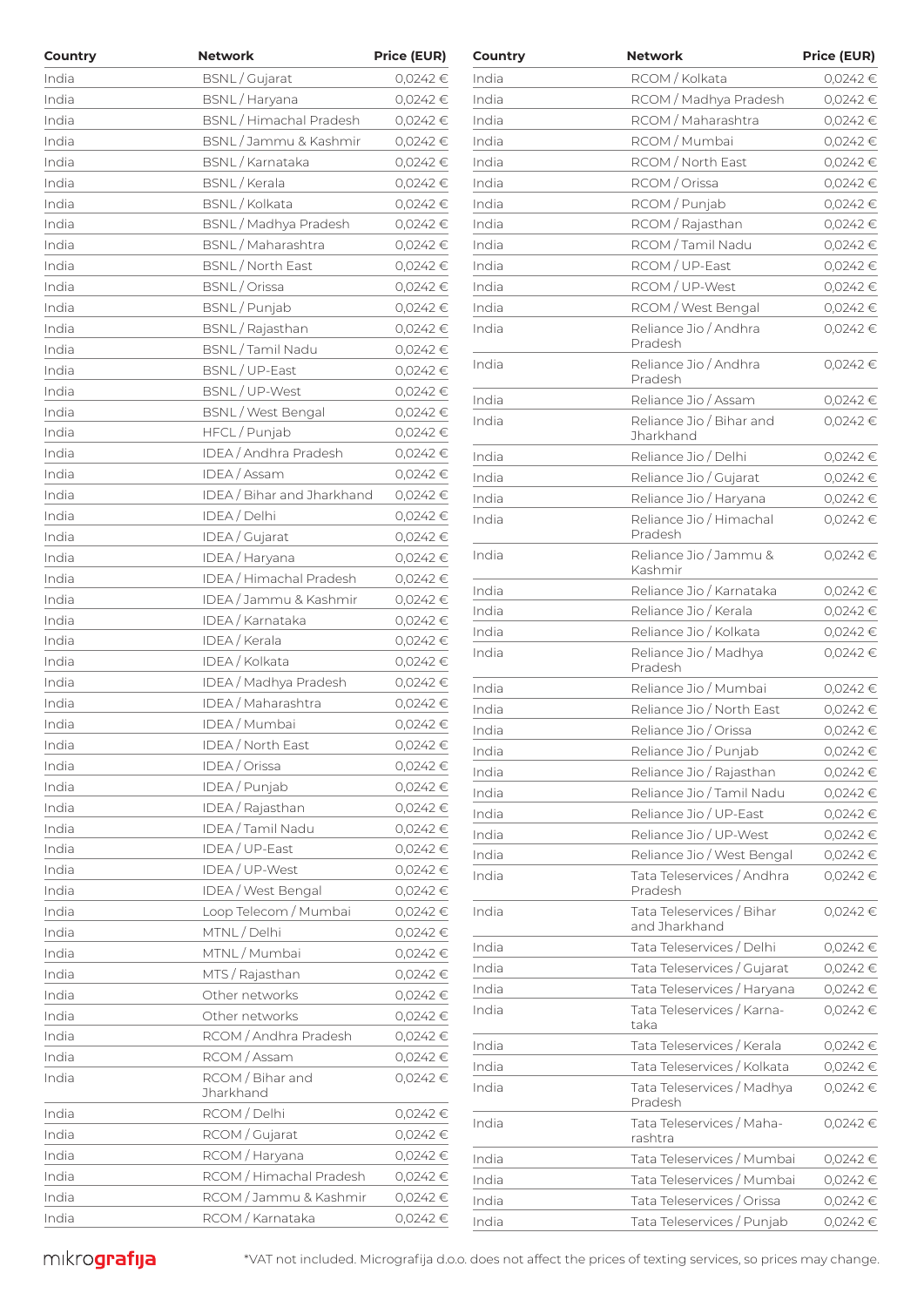| Country | <b>Network</b>             | <b>Price (EUR)</b> | Country | <b>Network</b>                        | <b>Price (EUR)</b> |
|---------|----------------------------|--------------------|---------|---------------------------------------|--------------------|
| India   | BSNL / Gujarat             | 0,0242€            | India   | RCOM / Kolkata                        | 0,0242€            |
| India   | BSNL / Haryana             | $0,0242$ €         | India   | RCOM / Madhya Pradesh                 | 0,0242 €           |
| India   | BSNL / Himachal Pradesh    | $0,0242$ €         | India   | RCOM / Maharashtra                    | 0,0242 €           |
| India   | BSNL/Jammu & Kashmir       | 0,0242€            | India   | RCOM / Mumbai                         | 0,0242€            |
| India   | BSNL / Karnataka           | 0,0242 €           | India   | RCOM / North East                     | 0,0242 €           |
| India   | BSNL / Kerala              | $0,0242$ €         | India   | RCOM / Orissa                         | 0,0242 €           |
| India   | BSNL / Kolkata             | 0,0242€            | India   | RCOM / Punjab                         | 0,0242 €           |
| India   | BSNL / Madhya Pradesh      | 0,0242€            | India   | RCOM / Rajasthan                      | 0,0242€            |
| India   | BSNL / Maharashtra         | 0,0242€            | India   | RCOM / Tamil Nadu                     | 0,0242 €           |
| India   | BSNL / North East          | 0,0242€            | India   | RCOM / UP-East                        | 0,0242 €           |
| India   | BSNL / Orissa              | 0,0242€            | India   | RCOM / UP-West                        | 0,0242 €           |
| India   | BSNL/Punjab                | 0,0242€            | India   | RCOM / West Bengal                    | 0,0242 €           |
| India   | BSNL / Rajasthan           | 0,0242€            | India   | Reliance Jio / Andhra                 | 0,0242 €           |
| India   | BSNL / Tamil Nadu          | 0,0242€            |         | Pradesh                               |                    |
| India   | BSNL / UP-East             | $0,0242$ €         | India   | Reliance Jio / Andhra                 | 0,0242 €           |
| India   | BSNL/UP-West               | 0,0242€            |         | Pradesh                               |                    |
| India   | BSNL / West Bengal         | 0,0242€            | India   | Reliance Jio / Assam                  | 0,0242 €           |
| India   | HFCL / Punjab              | 0,0242€            | India   | Reliance Jio / Bihar and<br>Jharkhand | 0,0242€            |
| India   | IDEA / Andhra Pradesh      | 0,0242€            | India   | Reliance Jio / Delhi                  | 0,0242 €           |
| India   | IDEA / Assam               | 0,0242€            | India   | Reliance Jio / Gujarat                | 0,0242€            |
| India   | IDEA / Bihar and Jharkhand | 0,0242€            | India   | Reliance Jio / Haryana                | $0,0242$ €         |
| India   | IDEA / Delhi               | 0,0242€            | India   | Reliance Jio / Himachal               | 0,0242€            |
| India   | IDEA / Gujarat             | 0,0242€            |         | Pradesh                               |                    |
| India   | IDEA / Haryana             | 0,0242 €           | India   | Reliance Jio / Jammu &                | 0,0242 €           |
| India   | IDEA / Himachal Pradesh    | 0,0242€            |         | Kashmir                               |                    |
| India   | IDEA / Jammu & Kashmir     | 0,0242€            | India   | Reliance Jio / Karnataka              | 0,0242 €           |
| India   | IDEA / Karnataka           | 0,0242€            | India   | Reliance Jio / Kerala                 | 0,0242 €           |
| India   | IDEA / Kerala              | 0,0242 €           | India   | Reliance Jio / Kolkata                | 0,0242€            |
| India   | IDEA / Kolkata             | $0,0242$ €         | India   | Reliance Jio / Madhya<br>Pradesh      | 0,0242 €           |
| India   | IDEA / Madhya Pradesh      | 0,0242€            | India   | Reliance Jio / Mumbai                 | 0,0242 €           |
| India   | IDEA / Maharashtra         | 0,0242€            | India   | Reliance Jio / North East             | 0,0242€            |
| India   | IDEA / Mumbai              | 0,0242€            | India   | Reliance Jio / Orissa                 | 0,0242€            |
| India   | IDEA / North East          | $0,0242$ €         | India   | Reliance Jio / Punjab                 | 0,0242 €           |
| India   | IDEA / Orissa              | 0,0242€            | India   | Reliance Jio / Rajasthan              | 0,0242 €           |
| India   | IDEA / Punjab              | 0,0242 €           | India   | Reliance Jio / Tamil Nadu             | 0,0242€            |
| India   | IDEA / Rajasthan           | 0,0242 €           | India   | Reliance Jio / UP-East                | 0,0242€            |
| India   | IDEA / Tamil Nadu          | 0,0242 €           | India   | Reliance Jio / UP-West                | 0,0242 €           |
| India   | IDEA / UP-East             | 0,0242 €           | India   | Reliance Jio / West Bengal            | 0,0242 €           |
| India   | IDEA / UP-West             | $0,0242$ €         | India   | Tata Teleservices / Andhra            | 0,0242 €           |
| India   | IDEA / West Bengal         | $0,0242$ €         |         | Pradesh                               |                    |
| India   | Loop Telecom / Mumbai      | 0,0242 €           | India   | Tata Teleservices / Bihar             | 0,0242€            |
| India   | MTNL / Delhi               | 0,0242 €           |         | and Jharkhand                         |                    |
| India   | MTNL / Mumbai              | $0,0242$ €         | India   | Tata Teleservices / Delhi             | 0,0242 €           |
| India   | MTS / Rajasthan            | 0,0242 €           | India   | Tata Teleservices / Gujarat           | 0,0242 €           |
| India   | Other networks             | 0,0242 €           | India   | Tata Teleservices / Haryana           | $0,0242$ €         |
| India   | Other networks             | 0,0242 €           | India   | Tata Teleservices / Karna-            | 0,0242 €           |
| India   | RCOM / Andhra Pradesh      | 0,0242 €           |         | taka                                  |                    |
| India   | RCOM / Assam               | 0,0242 €           | India   | Tata Teleservices / Kerala            | $0,0242$ €         |
| India   | RCOM / Bihar and           | 0,0242€            | India   | Tata Teleservices / Kolkata           | 0,0242 €           |
|         | Jharkhand                  |                    | India   | Tata Teleservices / Madhya<br>Pradesh | 0,0242 €           |
| India   | RCOM / Delhi               | 0,0242 €           | India   | Tata Teleservices / Maha-             | 0,0242 €           |
| India   | RCOM / Gujarat             | $0,0242$ €         |         | rashtra                               |                    |
| India   | RCOM / Haryana             | 0,0242 €           | India   | Tata Teleservices / Mumbai            | $0,0242$ €         |
| India   | RCOM / Himachal Pradesh    | $0,0242$ €         | India   | Tata Teleservices / Mumbai            | 0,0242 €           |
| India   | RCOM / Jammu & Kashmir     | 0,0242 €           | India   | Tata Teleservices / Orissa            | 0,0242 €           |
| India   | RCOM / Karnataka           | 0,0242 €           | India   | Tata Teleservices / Punjab            | $0,0242$ €         |

| Country | Network                                    | <b>Price (EUR)</b> |
|---------|--------------------------------------------|--------------------|
| India   | RCOM / Kolkata                             | 0,0242€            |
| India   | RCOM / Madhya Pradesh                      | 0.0242€            |
| India   | RCOM / Maharashtra                         | 0,0242€            |
| India   | RCOM / Mumbai                              | 0,0242€            |
| India   | RCOM / North East                          | 0,0242€            |
| India   | RCOM / Orissa                              | 0,0242€            |
| India   | RCOM / Punjab                              | 0,0242€            |
| India   | RCOM / Rajasthan                           | 0,0242€            |
| India   | RCOM / Tamil Nadu                          | 0,0242€            |
| India   | RCOM / UP-East                             | 0,0242€            |
| India   | RCOM / UP-West                             | 0,0242€            |
| India   | RCOM / West Bengal                         | 0,0242€            |
| India   | Reliance Jio / Andhra                      | 0,0242€            |
|         | Pradesh                                    |                    |
| India   | Reliance Jio / Andhra<br>Pradesh           | $0,0242 \in$       |
| India   | Reliance Jio / Assam                       | $0,0242 \in$       |
| India   | Reliance Jio / Bihar and<br>Jharkhand      | 0.0242€            |
| India   | Reliance Jio / Delhi                       | 0,0242€            |
| India   | Reliance Jio / Gujarat                     | 0,0242€            |
| India   | Reliance Jio / Haryana                     | 0,0242€            |
| India   | Reliance Jio / Himachal<br>Pradesh         | 0,0242€            |
| India   | Reliance Jio / Jammu &<br>Kashmir          | 0,0242€            |
| India   | Reliance Jio / Karnataka                   | $0,0242 \in$       |
| India   | Reliance Jio / Kerala                      | 0,0242€            |
| India   | Reliance Jio / Kolkata                     | 0,0242€            |
| India   | Reliance Jio / Madhya<br>Pradesh           | $0,0242 \in$       |
| India   | Reliance Jio / Mumbai                      | $0,0242 \in$       |
| India   | Reliance Jio / North East                  | 0,0242€            |
| India   | Reliance Jio / Orissa                      | 0,0242€            |
| India   | Reliance Jio / Punjab                      | 0,0242€            |
| India   | Reliance Jio / Rajasthan                   | $0,0242 \in$       |
| India   | Reliance Jio / Tamil Nadu                  | $0,0242 \in$       |
| India   | Reliance Jio / UP-East                     | $0,0242 \in$       |
| India   | Reliance Jio / UP-West                     | $0,0242 \in$       |
| India   | Reliance Jio / West Bengal                 | 0,0242 €           |
| India   | Tata Teleservices / Andhra<br>Pradesh      | $0,0242 \in$       |
| India   | Tata Teleservices / Bihar<br>and Jharkhand | $0,0242 \in$       |
| India   | Tata Teleservices / Delhi                  | 0,0242€            |
| India   | Tata Teleservices / Gujarat                | 0,0242 €           |
| India   | Tata Teleservices / Haryana                | $0,0242 \in$       |
| India   | Tata Teleservices / Karna-<br>taka         | 0,0242€            |
| India   | Tata Teleservices / Kerala                 | $0,0242 \in$       |
| India   | Tata Teleservices / Kolkata                | 0,0242€            |
| India   | Tata Teleservices / Madhya<br>Pradesh      | 0,0242€            |
| India   | Tata Teleservices / Maha-<br>rashtra       | $0,0242 \in$       |
| India   | Tata Teleservices / Mumbai                 | $0,0242 \in$       |
| India   | Tata Teleservices / Mumbai                 | 0,0242€            |
| India   | Tata Teleservices / Orissa                 | 0,0242€            |
| India   | Tata Teleservices / Punjab                 | 0,0242€            |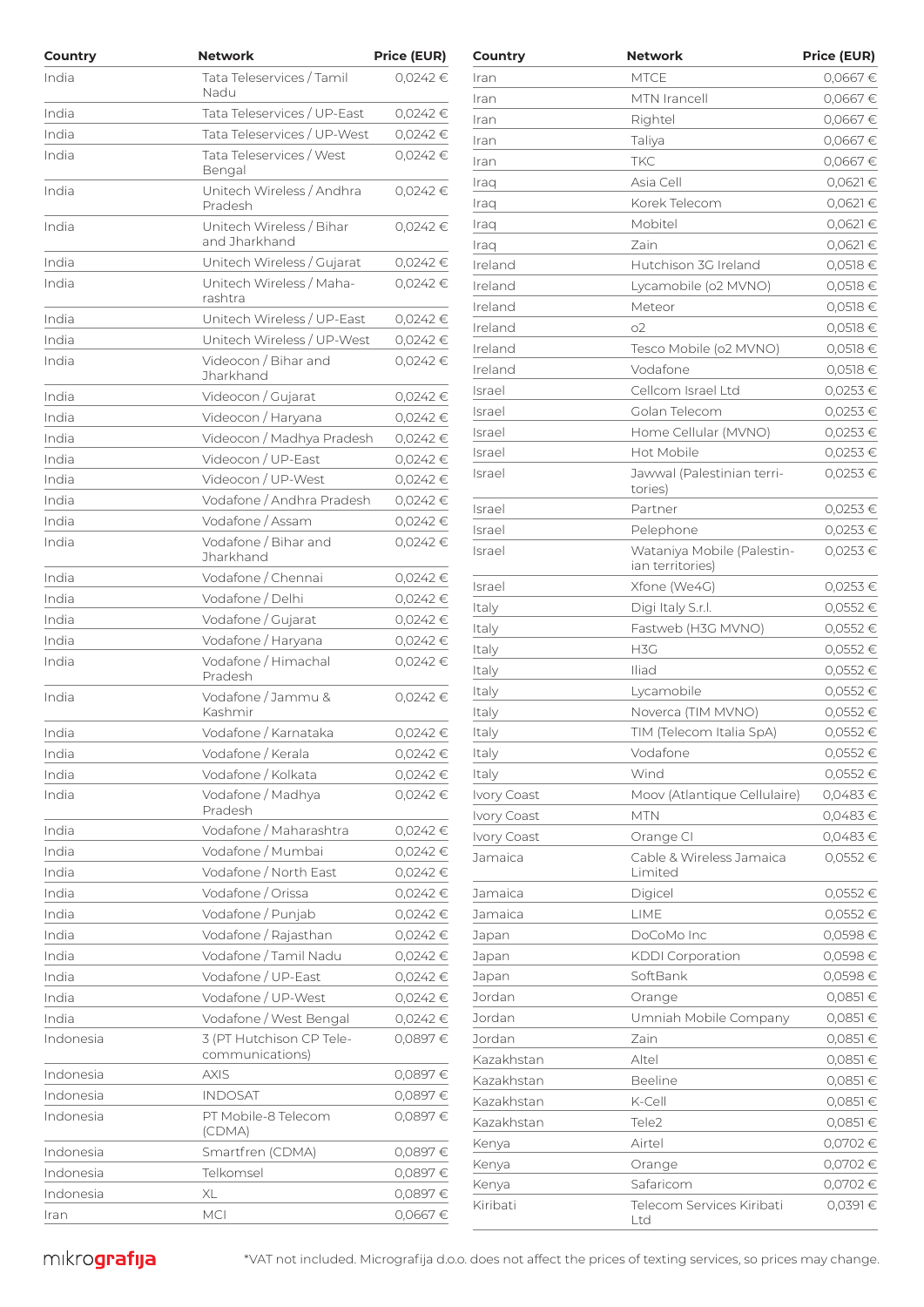| Country                | <b>Network</b>                           | <b>Price (EUR)</b>       | Country     | <b>Network</b>                                 | <b>Price (EUR)</b> |
|------------------------|------------------------------------------|--------------------------|-------------|------------------------------------------------|--------------------|
| India                  | Tata Teleservices / Tamil                | $0,0242 \in$             | Iran        | <b>MTCE</b>                                    | 0,0667€            |
|                        | Nadu                                     |                          | Iran        | MTN Irancell                                   | 0,0667€            |
| India                  | Tata Teleservices / UP-East              | 0,0242€                  | Iran        | Rightel                                        | 0,0667€            |
| India                  | Tata Teleservices / UP-West              | $0,0242 \in$             | Iran        | Taliya                                         | 0,0667€            |
| India                  | Tata Teleservices / West                 | $0,0242 \in$             | Iran        | <b>TKC</b>                                     | 0,0667€            |
|                        | Bengal                                   |                          | Iraq        | Asia Cell                                      | $0,0621$ €         |
| India                  | Unitech Wireless / Andhra<br>Pradesh     | $0,0242 \in$             | Iraq        | Korek Telecom                                  | $0,0621$ €         |
| India                  | Unitech Wireless / Bihar                 | 0.0242€                  | Iraq        | Mobitel                                        | $0,0621$ €         |
|                        | and Jharkhand                            |                          | Iraq        | Zain                                           | $0,0621$ €         |
| India                  | Unitech Wireless / Gujarat               | 0,0242 €                 | Ireland     | Hutchison 3G Ireland                           | $0,0518$ €         |
| India                  | Unitech Wireless / Maha-                 | $0,0242 \in$             | Ireland     | Lycamobile (o2 MVNO)                           | $0,0518$ €         |
|                        | rashtra                                  |                          | Ireland     | Meteor                                         | $0,0518$ €         |
| India                  | Unitech Wireless / UP-East               | $0,0242$ €               | Ireland     | O <sub>2</sub>                                 | $0,0518$ €         |
| India                  | Unitech Wireless / UP-West               | $0,0242 \in$             | Ireland     | Tesco Mobile (o2 MVNO)                         | $0,0518$ €         |
| India                  | Videocon / Bihar and<br>Jharkhand        | 0,0242€                  | Ireland     | Vodafone                                       | $0,0518$ €         |
| India                  | Videocon / Gujarat                       | $0,0242$ €               | Israel      | Cellcom Israel Ltd                             | 0,0253 €           |
| India                  | Videocon / Haryana                       | 0,0242€                  | Israel      | Golan Telecom                                  | 0,0253 €           |
|                        |                                          |                          | Israel      | Home Cellular (MVNO)                           | $0,0253$ €         |
| India                  | Videocon / Madhya Pradesh                | 0,0242€                  | Israel      | Hot Mobile                                     | 0,0253 €           |
| India<br>India         | Videocon / UP-East<br>Videocon / UP-West | $0,0242$ €<br>$0,0242$ € | Israel      | Jawwal (Palestinian terri-                     | 0,0253€            |
| India                  | Vodafone / Andhra Pradesh                | $0,0242$ €               |             | tories)                                        |                    |
|                        | Vodafone / Assam                         |                          | Israel      | Partner                                        | $0,0253$ €         |
| India                  | Vodafone / Bihar and                     | $0,0242$ €               | Israel      | Pelephone                                      | 0,0253 €           |
| India                  | Jharkhand                                | 0,0242€                  | Israel      | Wataniya Mobile (Palestin-<br>ian territories) | 0,0253 €           |
| India                  | Vodafone / Chennai                       | $0,0242$ €               | Israel      | Xfone (We4G)                                   | $0,0253$ €         |
| India                  | Vodafone / Delhi                         | 0,0242€                  | Italy       | Digi Italy S.r.l.                              | 0,0552€            |
| India                  | Vodafone / Gujarat                       | $0,0242 \in$             | Italy       | Fastweb (H3G MVNO)                             | 0,0552€            |
| India                  | Vodafone / Haryana                       | $0,0242$ €               | Italy       | H <sub>3</sub> C                               | 0,0552€            |
| India                  | Vodafone / Himachal                      | $0,0242$ €               | Italy       | Iliad                                          | 0,0552€            |
|                        | Pradesh                                  |                          | Italy       | Lycamobile                                     | $0,0552$ €         |
| India                  | Vodafone / Jammu &<br>Kashmir            | 0,0242€                  | Italy       | Noverca (TIM MVNO)                             | 0,0552€            |
| India                  | Vodafone / Karnataka                     | 0,0242€                  | Italy       | TIM (Telecom Italia SpA)                       | 0,0552€            |
| India                  | Vodafone / Kerala                        | 0,0242 €                 | Italy       | Vodafone                                       | 0,0552€            |
| India                  | Vodafone / Kolkata                       | 0,0242€                  | Italy       | Wind                                           | 0,0552€            |
| India                  | Vodafone / Madhya                        | $0,0242$ €               | Ivory Coast | Moov (Atlantique Cellulaire)                   | 0,0483€            |
|                        | Pradesh                                  |                          | Ivory Coast | <b>MTN</b>                                     | 0,0483€            |
| India                  | Vodafone / Maharashtra                   | 0,0242€                  | Ivory Coast | Orange CI                                      | $0,0483$ €         |
| India                  | Vodafone / Mumbai                        | $0,0242 \in$             | Jamaica     | Cable & Wireless Jamaica                       | 0,0552€            |
| India                  | Vodafone / North East                    | 0,0242€                  |             | Limited                                        |                    |
| India                  | Vodafone / Orissa                        | $0,0242$ €               | Jamaica     | Digicel                                        | 0,0552€            |
| India                  | Vodafone / Punjab                        | $0,0242$ €               | Jamaica     | LIME                                           | 0,0552€            |
| India                  | Vodafone / Rajasthan                     | $0,0242$ €               | Japan       | DoCoMo Inc                                     | 0,0598€            |
| India                  | Vodafone / Tamil Nadu                    | $0,0242$ €               | Japan       | <b>KDDI</b> Corporation                        | 0,0598€            |
| India                  | Vodafone / UP-East                       | $0,0242$ €               | Japan       | SoftBank                                       | 0,0598€            |
| India                  | Vodafone / UP-West                       | $0,0242$ €               | Jordan      | Orange                                         | $0,0851$ €         |
| India                  | Vodafone / West Bengal                   | 0,0242€                  | Jordan      | Umniah Mobile Company                          | $0,0851$ €         |
| Indonesia              | 3 (PT Hutchison CP Tele-                 | 0,0897€                  | Jordan      | Zain                                           | $0,0851$ €         |
|                        | communications)                          |                          | Kazakhstan  | Altel                                          | $0,0851$ €         |
| Indonesia              | <b>AXIS</b>                              | 0,0897€                  | Kazakhstan  | <b>Beeline</b>                                 | $0,0851$ €         |
| Indonesia              | <b>INDOSAT</b>                           | 0,0897€                  | Kazakhstan  | K-Cell                                         | $0,0851$ €         |
| Indonesia              | PT Mobile-8 Telecom                      | 0,0897€                  | Kazakhstan  | Tele2                                          | $0,0851$ €         |
|                        | (CDMA)                                   |                          | Kenya       | Airtel                                         | 0,0702€            |
| Indonesia<br>Indonesia | Smartfren (CDMA)                         | 0,0897€                  | Kenya       | Orange                                         | 0,0702€            |
|                        | Telkomsel                                | 0,0897€                  | Kenya       | Safaricom                                      | 0,0702€            |
| Indonesia              | XL                                       | 0,0897€                  | Kiribati    | Telecom Services Kiribati                      | $0,0391 \in$       |
| Iran                   | <b>MCI</b>                               | 0,0667€                  |             | ht                                             |                    |

| country     | network                                        | Price (EUR)  |
|-------------|------------------------------------------------|--------------|
| Iran        | MTCE                                           | 0,0667€      |
| Iran        | MTN Irancell                                   | 0,0667€      |
| Iran        | Rightel                                        | 0,0667€      |
| Iran        | Taliya                                         | 0,0667€      |
| Iran        | TKC                                            | 0,0667€      |
| Iraq        | Asia Cell                                      | 0,0621€      |
| Iraq        | Korek Telecom                                  | 0,0621€      |
| Iraq        | Mobitel                                        | 0,0621 €     |
| Iraq        | <b>Zain</b>                                    | 0,0621€      |
| Ireland     | Hutchison 3G Ireland                           | 0,0518€      |
| Ireland     | Lycamobile (o2 MVNO)                           | 0,0518€      |
| Ireland     | Meteor                                         | 0,0518 €     |
| Ireland     | о2                                             | 0,0518€      |
| Ireland     | Tesco Mobile (o2 MVNO)                         | 0,0518€      |
| Ireland     | Vodafone                                       | 0,0518 €     |
| Israel      | Cellcom Israel Ltd                             | 0,0253 €     |
| Israel      | Golan Telecom                                  | 0,0253€      |
| Israel      | Home Cellular (MVNO)                           | $0,0253 \in$ |
| Israel      | Hot Mobile                                     | 0,0253 €     |
| Israel      | Jawwal (Palestinian terri-<br>tories)          | $0,0253 \in$ |
| Israel      | Partner                                        | 0,0253 €     |
| Israel      | Pelephone                                      | 0,0253 €     |
| Israel      | Wataniya Mobile (Palestin-<br>ian territories) | 0,0253€      |
| Israel      | Xfone (We4G)                                   | 0,0253 €     |
| Italy       | Digi Italy S.r.l.                              | 0,0552€      |
| Italy       | Fastweb (H3G MVNO)                             | 0,0552€      |
| Italy       | H3G                                            | 0,0552€      |
| Italy       | Iliad                                          | 0,0552€      |
| Italy       | Lycamobile                                     | 0,0552€      |
| Italy       | Noverca (TIM MVNO)                             | 0,0552€      |
| Italy       | TIM (Telecom Italia SpA)                       | $0,0552 \in$ |
| Italy       | Vodafone                                       | 0,0552€      |
| Italy       | Wind                                           | 0,0552€      |
| Ivory Coast | Moov (Atlantique Cellulaire)                   | 0,0483€      |
| Ivory Coast | <b>MTN</b>                                     | 0,0483€      |
| Ivory Coast | Orange CI                                      | 0,0483€      |
| Jamaica     | Cable & Wireless Jamaica<br>Limited            | 0,0552€      |
| Jamaica     | Digicel                                        | 0,0552€      |
| Jamaica     | LIME                                           | 0,0552€      |
| Japan       | DoCoMo Inc                                     | 0,0598€      |
| Japan       | <b>KDDI</b> Corporation                        | 0,0598€      |
| Japan       | SoftBank                                       | 0,0598€      |
| Jordan      | Orange                                         | 0,0851 €     |
| Jordan      | Umniah Mobile Company                          | 0,0851€      |
| Jordan      | Zain                                           | 0,0851 €     |
| Kazakhstan  | Altel                                          | 0,0851 €     |
| Kazakhstan  | <b>Beeline</b>                                 | 0,0851€      |
| Kazakhstan  | K-Cell                                         | 0,0851€      |
| Kazakhstan  | Tele <sub>2</sub>                              | 0,0851€      |
| Kenya       | Airtel                                         | 0,0702€      |
| Kenya       | Orange                                         | 0,0702€      |
| Kenya       | Safaricom                                      | 0,0702€      |
| Kiribati    | Telecom Services Kiribati<br>Ltd               | 0,0391€      |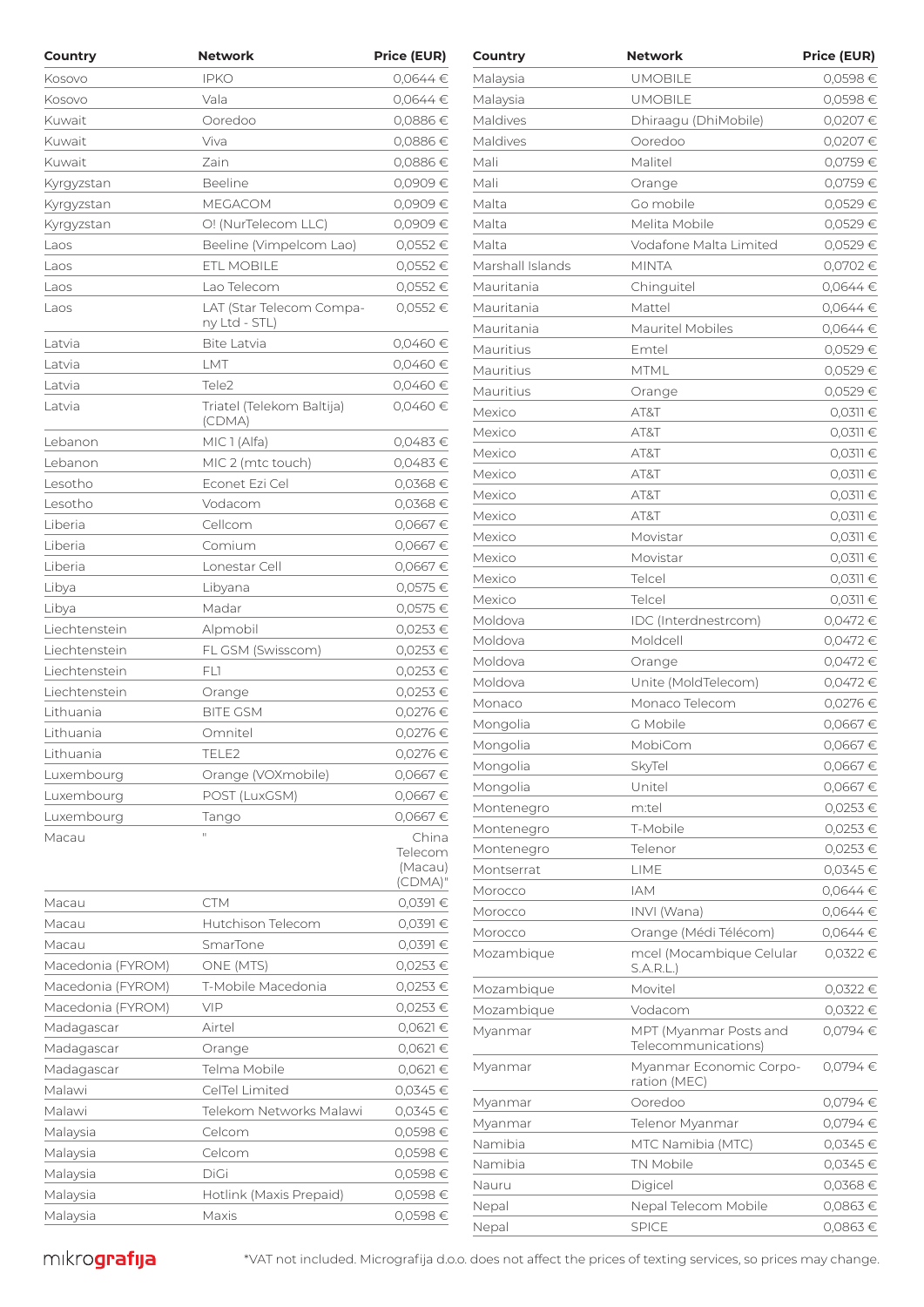| Country           | <b>Network</b>                            | <b>Price (EUR)</b> | Country                  | <b>Network</b>                          | <b>Price (EUR)</b>           |
|-------------------|-------------------------------------------|--------------------|--------------------------|-----------------------------------------|------------------------------|
| Kosovo            | <b>IPKO</b>                               | $0.0644 \in$       | Malaysia                 | <b>UMOBILE</b>                          | 0,0598€                      |
| Kosovo            | Vala                                      | 0,0644€            | Malaysia                 | <b>UMOBILE</b>                          | 0,0598€                      |
| Kuwait            | Ooredoo                                   | $0,0886 \in$       | Maldives                 | Dhiraaqu (DhiMobile)                    | 0,0207€                      |
| Kuwait            | Viva                                      | 0.0886€            | Maldives                 | Ooredoo                                 | 0,0207€                      |
| Kuwait            | Zain                                      | 0,0886€            | Mali                     | Malitel                                 | 0,0759€                      |
| Kyrgyzstan        | Beeline                                   | 0,0909€            | Mali                     | Orange                                  | 0,0759€                      |
| Kyrgyzstan        | MEGACOM                                   | 0,0909€            | Malta                    | Go mobile                               | 0,0529€                      |
| Kyrgyzstan        | O! (NurTelecom LLC)                       | 0,0909€            | Malta                    | Melita Mobile                           | 0,0529€                      |
| Laos              | Beeline (Vimpelcom Lao)                   | 0,0552€            | Malta                    | Vodafone Malta Limited                  | 0,0529€                      |
| Laos              | ETL MOBILE                                | 0,0552€            | Marshall Islands         | <b>MINTA</b>                            | 0,0702€                      |
| Laos              | Lao Telecom                               | 0,0552€            | Mauritania               | Chinguitel                              | $0,0644 \in$                 |
| Laos              | LAT (Star Telecom Compa-<br>ny Ltd - STL) | 0,0552€            | Mauritania<br>Mauritania | Mattel<br>Mauritel Mobiles              | $0,0644 \in$<br>$0,0644 \in$ |
| Latvia            | <b>Bite Latvia</b>                        | 0,0460€            | Mauritius                | Emtel                                   | 0,0529€                      |
| Latvia            | LMT                                       | 0,0460€            | Mauritius                | <b>MTML</b>                             | 0,0529€                      |
| Latvia            | Tele <sub>2</sub>                         | 0,0460€            | Mauritius                | Orange                                  | 0,0529€                      |
| Latvia            | Triatel (Telekom Baltija)                 | 0,0460€            | Mexico                   | AT&T                                    | $0,0311$ €                   |
|                   | (CDMA)                                    |                    | Mexico                   | AT&T                                    | $0,0311 \in$                 |
| Lebanon           | MIC 1 (Alfa)                              | 0,0483€            | Mexico                   | AT&T                                    | $0,0311 \in$                 |
| Lebanon           | MIC 2 (mtc touch)                         | 0,0483€            | Mexico                   | AT&T                                    | $0,0311 \in$                 |
| Lesotho           | Econet Ezi Cel                            | 0,0368€            | Mexico                   | AT&T                                    | $0,0311 \in$                 |
| Lesotho           | Vodacom                                   | 0,0368€            | Mexico                   | AT&T                                    | $0,0311 \in$                 |
| Liberia           | Cellcom                                   | 0,0667€            | Mexico                   | Movistar                                | $0,0311$ €                   |
| Liberia           | Comium                                    | 0,0667€            | Mexico                   | Movistar                                | $0,0311 \in$                 |
| Liberia           | Lonestar Cell                             | 0,0667€            | Mexico                   | Telcel                                  | $0,0311$ €                   |
| Libya             | Libyana                                   | 0,0575€            | Mexico                   | Telcel                                  | $0,0311$ €                   |
| Libya             | Madar                                     | 0,0575€            | Moldova                  | IDC (Interdnestrcom)                    | 0,0472€                      |
| Liechtenstein     | Alpmobil                                  | 0,0253 €           | Moldova                  | Moldcell                                | 0,0472€                      |
| Liechtenstein     | FL GSM (Swisscom)                         | 0,0253 €           | Moldova                  | Orange                                  | 0,0472€                      |
| Liechtenstein     | FLI                                       | 0,0253 €           | Moldova                  | Unite (MoldTelecom)                     | 0,0472€                      |
| Liechtenstein     | Orange                                    | 0,0253€            | Monaco                   | Monaco Telecom                          | 0,0276 €                     |
| Lithuania         | <b>BITE GSM</b>                           | 0,0276 €           | Mongolia                 | G Mobile                                | 0,0667€                      |
| Lithuania         | Omnitel                                   | 0,0276 €           | Mongolia                 | MobiCom                                 | 0,0667€                      |
| Lithuania         | TELE2                                     | 0,0276 €           | Mongolia                 | SkyTel                                  | 0,0667€                      |
| Luxembourg        | Orange (VOXmobile)                        | 0,0667€            | Mongolia                 | Unitel                                  | 0,0667€                      |
| Luxembourg        | POST (LuxGSM)                             | 0,0667€            | Montenegro               | m:tel                                   | $0,0253$ €                   |
| Luxembourg        | Tango                                     | 0,0667€            | Montenegro               | T-Mobile                                | 0,0253 €                     |
| Macau             | $\mathbf H$                               | China<br>Telecom   | Montenegro               | Telenor                                 | 0,0253€                      |
|                   |                                           | (Macau)            | Montserrat               | LIME                                    | $0.0345 \in$                 |
|                   |                                           | (CDMA)"            | Morocco                  | <b>IAM</b>                              | $0.0644 \in$                 |
| Macau             | <b>CTM</b>                                | 0,0391 €           | Morocco                  | INVI (Wana)                             | $0,0644 \in$                 |
| Macau             | Hutchison Telecom                         | 0,0391€            | Morocco                  | Orange (Médi Télécom)                   | $0,0644 \in$                 |
| Macau             | SmarTone                                  | 0,0391€            | Mozambique               | mcel (Mocambique Celular                | 0,0322 €                     |
| Macedonia (FYROM) | ONE (MTS)                                 | $0,0253 \in$       |                          | S.A.R.L.                                |                              |
| Macedonia (FYROM) | T-Mobile Macedonia                        | 0,0253 €           | Mozambique               | Movitel                                 | 0,0322 €                     |
| Macedonia (FYROM) | VIP                                       | $0,0253 \in$       | Mozambique               | Vodacom                                 | $0,0322$ €                   |
| Madagascar        | Airtel                                    | $0,0621 \in$       | Myanmar                  | MPT (Myanmar Posts and                  | 0,0794 €                     |
| Madagascar        | Orange                                    | $0,0621 \in$       |                          | Telecommunications)                     |                              |
| Madagascar        | Telma Mobile                              | $0,0621 \in$       | Myanmar                  | Myanmar Economic Corpo-<br>ration (MEC) | 0,0794 €                     |
| Malawi            | CelTel Limited                            | $0,0345 \in$       |                          |                                         |                              |
| Malawi            | Telekom Networks Malawi                   | 0,0345 €           | Myanmar                  | Ooredoo                                 | 0,0794 €                     |
| Malaysia          | Celcom                                    | 0,0598€            | Myanmar                  | Telenor Myanmar                         | 0,0794 €                     |
| Malaysia          | Celcom                                    | 0,0598€            | Namibia                  | MTC Namibia (MTC)                       | $0,0345$ €                   |
| Malaysia          | DiGi                                      | 0,0598€            | Namibia                  | TN Mobile                               | $0,0345$ €                   |
| Malaysia          | Hotlink (Maxis Prepaid)                   | 0,0598€            | Nauru                    | Digicel                                 | $0,0368$ €                   |
| Malaysia          | Maxis                                     | 0,0598€            | Nepal                    | Nepal Telecom Mobile<br>CDICE           | 0,0863€<br>0.0007            |

| Country          | Network                                       | <b>Price (EUR)</b> |
|------------------|-----------------------------------------------|--------------------|
| Malaysia         | <b>UMOBILE</b>                                | 0,0598 €           |
| Malaysia         | <b>UMOBILE</b>                                | 0,0598€            |
| Maldives         | Dhiraagu (DhiMobile)                          | 0,0207€            |
| Maldives         | Ooredoo                                       | 0,0207€            |
| Mali             | Malitel                                       | 0,0759€            |
| Mali             | Orange                                        | 0,0759€            |
| Malta            | Go mobile                                     | 0,0529€            |
| Malta            | Melita Mobile                                 | 0,0529€            |
| Malta            | Vodafone Malta Limited                        | 0,0529€            |
| Marshall Islands | MINTA                                         | 0,0702€            |
| Mauritania       | Chinguitel                                    | $0,0644$ €         |
| Mauritania       | Mattel                                        | 0,0644€            |
| Mauritania       | <b>Mauritel Mobiles</b>                       | $0,0644$ €         |
| Mauritius        | Emtel                                         | 0,0529€            |
| Mauritius        | <b>MTML</b>                                   | 0,0529€            |
| Mauritius        | Orange                                        | 0,0529€            |
| Mexico           | AT&T                                          | $0,0311 \in$       |
| Mexico           | AT&T                                          | $0,0311 \in$       |
| Mexico           | AT&T                                          | $0,0311 \in$       |
| Mexico           | AT&T                                          | $0,0311 \in$       |
| Mexico           | AT&T                                          | $0,0311 \in$       |
| Mexico           |                                               | $0,0311 \in$       |
|                  | AT&T                                          |                    |
| Mexico           | Movistar                                      | $0,0311 \in$       |
| Mexico           | Movistar                                      | $0,0311 \in$       |
| Mexico           | Telcel                                        | $0,0311 \in$       |
| Mexico           | Telcel                                        | $0,0311 \in$       |
| Moldova          | IDC (Interdnestrcom)                          | 0,0472€            |
| Moldova          | Moldcell                                      | 0,0472€            |
| Moldova          | Orange                                        | 0,0472€            |
| Moldova          | Unite (MoldTelecom)                           | 0,0472€            |
| Monaco           | Monaco Telecom                                | 0,0276 €           |
| Mongolia         | G Mobile                                      | 0,0667€            |
| Mongolia         | MobiCom                                       | 0,0667€            |
| Mongolia         | SkyTel                                        | 0,0667€            |
| Mongolia         | Unitel                                        | 0,0667€            |
| Montenegro       | m:tel                                         | 0,0253 €           |
| Montenegro       | T-Mobile                                      | 0,0253€            |
| Montenegro       | Telenor                                       | 0,0253€            |
| Montserrat       | LIME                                          | 0,0345€            |
| Morocco          | <b>IAM</b>                                    | 0,0644€            |
| Morocco          | INVI (Wana)                                   | 0,0644€            |
| Morocco          | Orange (Médi Télécom)                         | 0,0644€            |
| Mozambique       | mcel (Mocambique Celular<br>S.A.R.L.)         | 0,0322 €           |
| Mozambique       | Movitel                                       | $0,0322 \in$       |
| Mozambique       | Vodacom                                       | 0,0322 €           |
| Myanmar          | MPT (Myanmar Posts and<br>Telecommunications) | 0,0794€            |
| Myanmar          | Myanmar Economic Corpo-<br>ration (MEC)       | 0,0794€            |
| Myanmar          | Ooredoo                                       | 0,0794€            |
| Myanmar          | Telenor Myanmar                               | 0,0794€            |
| Namibia          | MTC Namibia (MTC)                             | $0,0345 \in$       |
| Namibia          | TN Mobile                                     | $0,0345 \in$       |
| Nauru            | Digicel                                       | 0,0368€            |
| Nepal            | Nepal Telecom Mobile                          | 0,0863€            |
| Nepal            | <b>SPICE</b>                                  | 0,0863€            |
|                  |                                               |                    |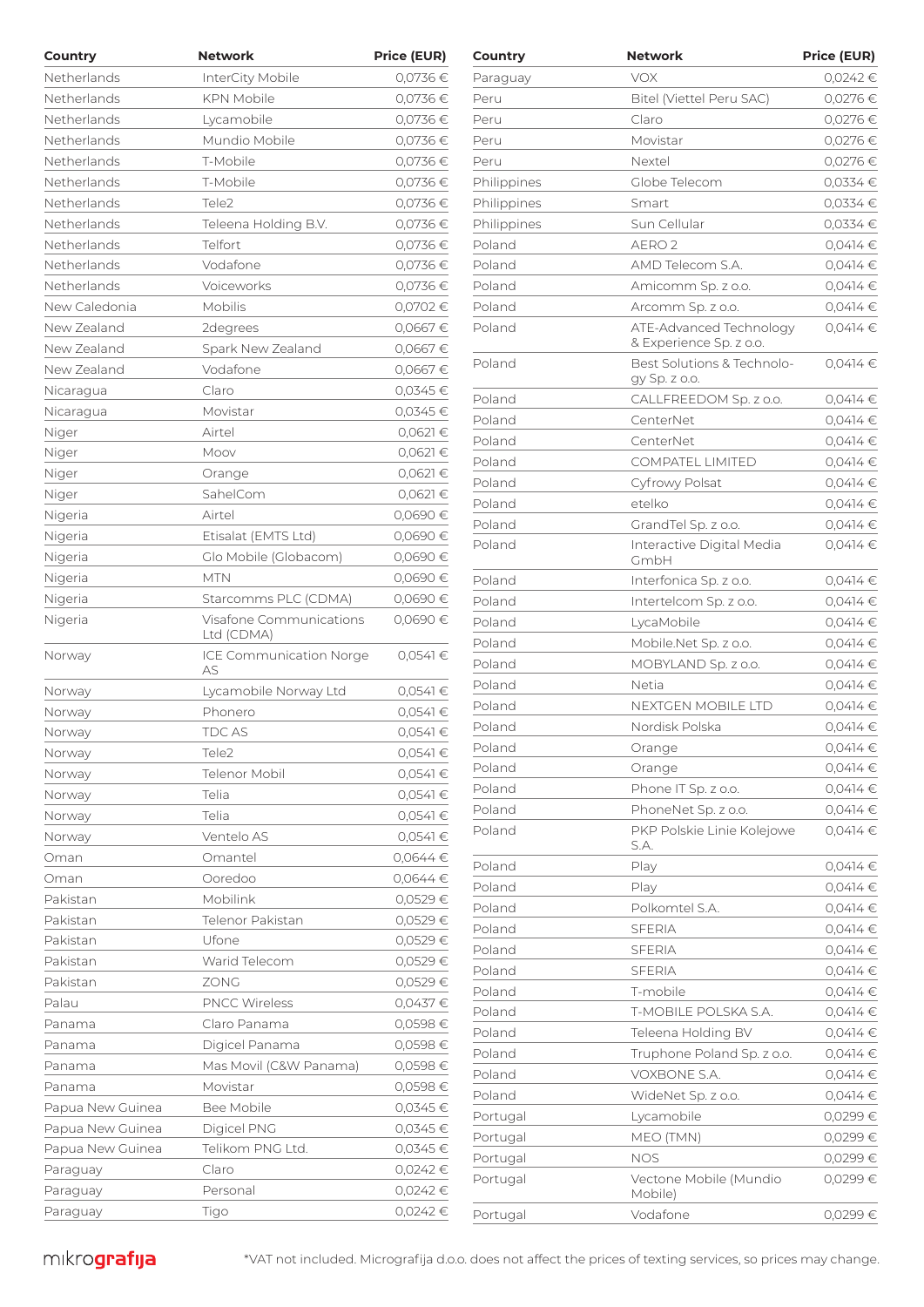| Country          | <b>Network</b>                 | <b>Price (EUR)</b> | Country     | <b>Network</b>                                   | <b>Price (EUR)</b> |
|------------------|--------------------------------|--------------------|-------------|--------------------------------------------------|--------------------|
| Netherlands      | InterCity Mobile               | 0,0736€            | Paraguay    | <b>VOX</b>                                       | 0,0242 €           |
| Netherlands      | <b>KPN Mobile</b>              | 0,0736€            | Peru        | Bitel (Viettel Peru SAC)                         | 0,0276 €           |
| Netherlands      | Lycamobile                     | 0,0736€            | Peru        | Claro                                            | 0,0276€            |
| Netherlands      | Mundio Mobile                  | 0,0736€            | Peru        | Movistar                                         | 0,0276 €           |
| Netherlands      | T-Mobile                       | 0,0736€            | Peru        | Nextel                                           | 0,0276 €           |
| Netherlands      | T-Mobile                       | 0,0736€            | Philippines | Globe Telecom                                    | $0,0334 \in$       |
| Netherlands      | Tele <sub>2</sub>              | 0,0736€            | Philippines | Smart                                            | $0,0334 \in$       |
| Netherlands      | Teleena Holding B.V.           | 0,0736€            | Philippines | Sun Cellular                                     | 0,0334€            |
| Netherlands      | Telfort                        | 0,0736€            | Poland      | AERO <sub>2</sub>                                | $0,0414 \in$       |
| Netherlands      | Vodafone                       | 0,0736€            | Poland      | AMD Telecom S.A.                                 | $0,0414 \in$       |
| Netherlands      | Voiceworks                     | 0,0736€            | Poland      | Amicomm Sp. z o.o.                               | $0,0414 \in$       |
| New Caledonia    | Mobilis                        | 0,0702€            | Poland      | Arcomm Sp. z o.o.                                | $0,0414 \in$       |
| New Zealand      | 2degrees                       | 0,0667€            | Poland      | ATE-Advanced Technology                          | $0,0414 \in$       |
| New Zealand      | Spark New Zealand              | 0,0667€            |             | & Experience Sp. z o.o.                          |                    |
| New Zealand      | Vodafone                       | 0,0667€            | Poland      | Best Solutions & Technolo-                       | $0,0414 \in$       |
| Nicaragua        | Claro                          | 0,0345€            |             | gy Sp. z o.o.                                    |                    |
| Nicaragua        | Movistar                       | 0,0345€            | Poland      | CALLFREEDOM Sp. z o.o.                           | $0,0414 \in$       |
| Niger            | Airtel                         | 0,0621€            | Poland      | CenterNet                                        | $0.0414 \in$       |
| Niger            | Moov                           | 0,0621€            | Poland      | CenterNet                                        | $0,0414 \in$       |
| Niger            | Orange                         | 0,0621€            | Poland      | <b>COMPATEL LIMITED</b>                          | $0,0414 \in$       |
| Niger            | SahelCom                       | 0,0621€            | Poland      | Cyfrowy Polsat                                   | $0,0414 \in$       |
| Nigeria          | Airtel                         | 0,0690€            | Poland      | etelko                                           | $0,0414 \in$       |
| Nigeria          | Etisalat (EMTS Ltd)            | 0,0690€            | Poland      | GrandTel Sp. z o.o.                              | $0,0414 \in$       |
| Nigeria          | Glo Mobile (Globacom)          | 0,0690€            | Poland      | Interactive Digital Media<br>GmbH                | $0,0414 \in$       |
| Nigeria          | <b>MTN</b>                     | 0,0690€            | Poland      |                                                  | $0,0414 \in$       |
| Nigeria          | Starcomms PLC (CDMA)           | 0,0690€            | Poland      | Interfonica Sp. z o.o.<br>Intertelcom Sp. z o.o. | $0,0414 \in$       |
| Nigeria          | Visafone Communications        | 0,0690€            |             |                                                  |                    |
|                  | Ltd (CDMA)                     |                    | Poland      | LycaMobile                                       | $0,0414 \in$       |
| Norway           | <b>ICE Communication Norge</b> | $0,0541 \in$       | Poland      | Mobile.Net Sp. z o.o.                            | $0,0414 \in$       |
|                  | AS                             |                    | Poland      | MOBYLAND Sp. z o.o.                              | $0,0414 \in$       |
| Norway           | Lycamobile Norway Ltd          | $0,0541 \in$       | Poland      | Netia                                            | $0,0414 \in$       |
| Norway           | Phonero                        | $0,0541 \in$       | Poland      | NEXTGEN MOBILE LTD                               | $0,0414 \in$       |
| Norway           | TDC AS                         | $0,0541 \in$       | Poland      | Nordisk Polska                                   | $0,0414 \in$       |
| Norway           | Tele2                          | 0,0541€            | Poland      | Orange                                           | $0,0414 \in$       |
| Norway           | Telenor Mobil                  | 0,0541€            | Poland      | Orange                                           | $0,0414 \in$       |
| Norway           | Telia                          | $0,0541 \in$       | Poland      | Phone IT Sp. z o.o.                              | $0,0414 \in$       |
| Norway           | Telia                          | $0,0541 \in$       | Poland      | PhoneNet Sp. z o.o.                              | $0,0414 \in$       |
| Norway           | Ventelo AS                     | $0,0541 \in$       | Poland      | PKP Polskie Linie Kolejowe<br>S.A.               | $0,0414 \in$       |
| Oman             | Omantel                        | 0,0644€            | Poland      | Play                                             | $0,0414 \in$       |
| Oman             | Ooredoo                        | 0,0644€            | Poland      | Play                                             | $0,0414 \in$       |
| Pakistan         | Mobilink                       | 0,0529€            | Poland      | Polkomtel S.A.                                   | $0,0414 \in$       |
| Pakistan         | Telenor Pakistan               | 0,0529€            | Poland      | <b>SFERIA</b>                                    | $0,0414 \in$       |
| Pakistan         | Ufone                          | 0,0529€            | Poland      | <b>SFERIA</b>                                    | $0,0414 \in$       |
| Pakistan         | Warid Telecom                  | 0,0529€            | Poland      | <b>SFERIA</b>                                    | $0,0414 \in$       |
| Pakistan         | ZONG                           | 0,0529€            | Poland      | T-mobile                                         | $0,0414 \in$       |
| Palau            | <b>PNCC Wireless</b>           | $0,0437 \in$       | Poland      | T-MOBILE POLSKA S.A.                             | $0,0414 \in$       |
| Panama           | Claro Panama                   | 0,0598€            | Poland      | Teleena Holding BV                               | $0,0414 \in$       |
| Panama           | Digicel Panama                 | 0,0598€            | Poland      | Truphone Poland Sp. z o.o.                       | $0,0414 \in$       |
| Panama           | Mas Movil (C&W Panama)         | 0,0598€            | Poland      | VOXBONE S.A.                                     | $0,0414 \in$       |
| Panama           | Movistar                       | 0,0598€            | Poland      | WideNet Sp. z o.o.                               | $0,0414 \in$       |
| Papua New Guinea | Bee Mobile                     | 0,0345€            | Portugal    | Lycamobile                                       | 0,0299€            |
| Papua New Guinea | Digicel PNG                    | $0,0345 \in$       | Portugal    | MEO (TMN)                                        | 0,0299€            |
| Papua New Guinea | Telikom PNG Ltd.               | 0,0345€            |             | <b>NOS</b>                                       | 0,0299€            |
| Paraguay         | Claro                          | 0,0242 €           | Portugal    |                                                  |                    |
| Paraguay         | Personal                       | $0,0242$ €         | Portugal    | Vectone Mobile (Mundio<br>Mobile)                | 0,0299€            |
| Paraguay         | Tigo                           | 0,0242€            | Portugal    | Vodafone                                         | 0.0299€            |

| Country     | Network                                            | <b>Price (EUR)</b> |
|-------------|----------------------------------------------------|--------------------|
| Paraguay    | <b>VOX</b>                                         | 0,0242€            |
| Peru        | Bitel (Viettel Peru SAC)                           | 0,0276€            |
| Peru        | Claro                                              | 0,0276 €           |
| Peru        | Movistar                                           | 0,0276 €           |
| Peru        | Nextel                                             | 0,0276€            |
| Philippines | Globe Telecom                                      | $0,0334$ €         |
| Philippines | Smart                                              | 0,0334 €           |
| Philippines | Sun Cellular                                       | $0,0334$ €         |
| Poland      | AERO <sub>2</sub>                                  | 0,0414€            |
| Poland      | AMD Telecom S.A.                                   | 0.0414€            |
| Poland      | Amicomm Sp. z o.o.                                 | 0,0414€            |
| Poland      | Arcomm Sp. z o.o.                                  | 0,0414€            |
| Poland      | ATE-Advanced Technology<br>& Experience Sp. z o.o. | 0,0414€            |
| Poland      | Best Solutions & Technolo-<br>gy Sp. z o.o.        | 0,0414€            |
| Poland      | CALLFREEDOM Sp. z o.o.                             | 0,0414€            |
| Poland      | CenterNet                                          | 0,0414€            |
| Poland      | CenterNet                                          | 0,0414€            |
| Poland      | <b>COMPATEL LIMITED</b>                            | 0,0414€            |
| Poland      | Cyfrowy Polsat                                     | 0,0414€            |
| Poland      | etelko                                             | 0,0414€            |
| Poland      | GrandTel Sp. z o.o.                                | 0,0414€            |
| Poland      | Interactive Digital Media<br>GmbH                  | 0,0414€            |
| Poland      | Interfonica Sp. z o.o.                             | $0,0414 \in$       |
| Poland      | Intertelcom Sp. z o.o.                             | 0,0414 €           |
| Poland      | LycaMobile                                         | 0,0414€            |
| Poland      | Mobile.Net Sp. z o.o.                              | 0,0414€            |
| Poland      | MOBYLAND Sp. z o.o.                                | 0,0414€            |
| Poland      | Netia                                              | 0,0414 €           |
| Poland      | <b>NEXTGEN MOBILE LTD</b>                          | 0,0414€            |
| Poland      | Nordisk Polska                                     | 0,0414€            |
| Poland      | Orange                                             | $0,0414 \in$       |
| Poland      | Orange                                             | 0,0414€            |
| Poland      | Phone IT Sp. z o.o.                                | $0,0414$ €         |
| Poland      | PhoneNet Sp. z o.o.                                | $0,0414 \in$       |
| Poland      | PKP Polskie Linie Kolejowe<br>S.A.                 | 0,0414€            |
| Poland      | Play                                               | 0,0414€            |
| Poland      | Play                                               | 0,0414€            |
| Poland      | Polkomtel S.A.                                     | 0,0414 €           |
| Poland      | SFERIA                                             | 0,0414€            |
| Poland      | SFERIA                                             | 0,0414€            |
| Poland      | <b>SFERIA</b>                                      | 0,0414€            |
| Poland      | T-mobile                                           | $0,0414 \in$       |
| Poland      | T-MOBILE POLSKA S.A.                               | 0,0414€            |
| Poland      | Teleena Holding BV                                 | $0,0414 \in$       |
| Poland      | Truphone Poland Sp. z o.o.                         | 0,0414€            |
| Poland      | VOXBONE S.A.                                       | 0,0414€            |
| Poland      | WideNet Sp. z o.o.                                 | 0,0414 €           |
| Portugal    | Lycamobile                                         | 0,0299€            |
| Portugal    | MEO (TMN)                                          | 0,0299€            |
| Portugal    | <b>NOS</b>                                         | 0,0299€            |
| Portugal    | Vectone Mobile (Mundio<br>Mobile)                  | 0,0299€            |
| Portugal    | Vodafone                                           | 0,0299€            |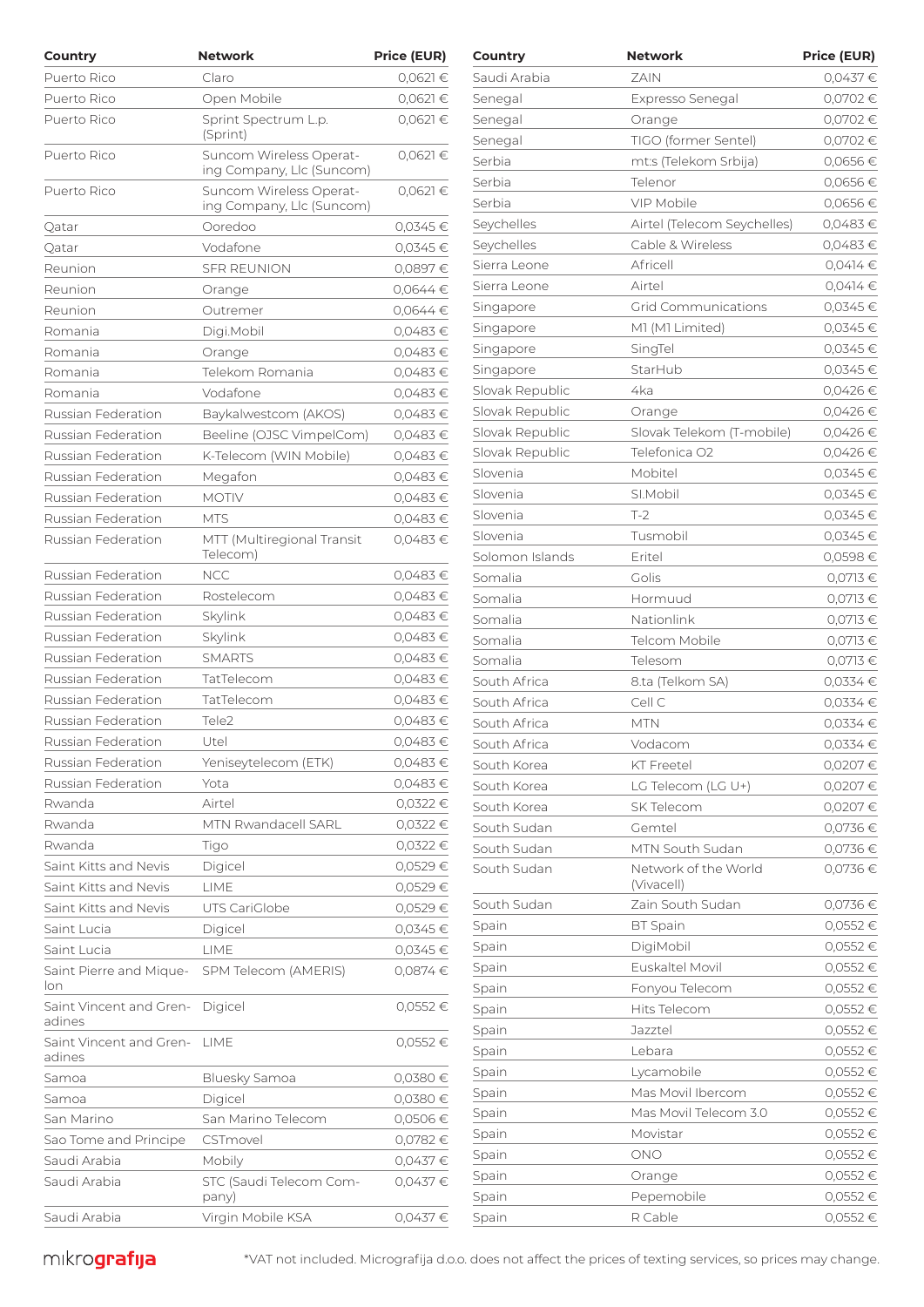| Country                         | <b>Network</b>                                       | <b>Price (EUR)</b> | Country         | <b>Network</b>                     | <b>Price (EUR)</b> |
|---------------------------------|------------------------------------------------------|--------------------|-----------------|------------------------------------|--------------------|
| Puerto Rico                     | Claro                                                | 0,0621€            | Saudi Arabia    | ZAIN                               | $0,0437$ €         |
| Puerto Rico                     | Open Mobile                                          | $0,0621 \in$       | Senegal         | Expresso Senegal                   | 0,0702€            |
| Puerto Rico                     | Sprint Spectrum L.p.                                 | $0,0621 \in$       | Senegal         | Orange                             | 0,0702€            |
|                                 | (Sprint)                                             |                    | Senegal         | TIGO (former Sentel)               | 0,0702€            |
| Puerto Rico                     | Suncom Wireless Operat-                              | 0,0621€            | Serbia          | mt:s (Telekom Srbija)              | 0,0656€            |
|                                 | ing Company, Llc (Suncom)                            |                    | Serbia          | Telenor                            | 0,0656€            |
| Puerto Rico                     | Suncom Wireless Operat-<br>ing Company, Llc (Suncom) | $0,0621 \in$       | Serbia          | VIP Mobile                         | 0,0656€            |
| Qatar                           | Ooredoo                                              | 0,0345€            | Seychelles      | Airtel (Telecom Seychelles)        | 0,0483€            |
| Qatar                           | Vodafone                                             | 0,0345 €           | Seychelles      | Cable & Wireless                   | 0,0483€            |
| Reunion                         | <b>SFR REUNION</b>                                   | 0,0897€            | Sierra Leone    | Africell                           | $0,0414 \in$       |
| Reunion                         | Orange                                               | $0,0644$ €         | Sierra Leone    | Airtel                             | $0,0414 \in$       |
| Reunion                         | Outremer                                             | $0.0644 \in$       | Singapore       | <b>Grid Communications</b>         | $0,0345$ €         |
| Romania                         | Digi.Mobil                                           | 0,0483€            | Singapore       | M1 (M1 Limited)                    | $0,0345 \in$       |
| Romania                         | Orange                                               | 0,0483€            | Singapore       | SingTel                            | $0,0345$ €         |
| Romania                         | Telekom Romania                                      | $0,0483 \in$       | Singapore       | StarHub                            | $0,0345$ €         |
| Romania                         | Vodafone                                             | 0,0483€            | Slovak Republic | 4ka                                | 0,0426€            |
| <b>Russian Federation</b>       | Baykalwestcom (AKOS)                                 | $0.0483 \in$       | Slovak Republic | Orange                             | 0,0426€            |
| <b>Russian Federation</b>       | Beeline (OJSC VimpelCom)                             | $0,0483 \in$       | Slovak Republic | Slovak Telekom (T-mobile)          | 0,0426€            |
| Russian Federation              | K-Telecom (WIN Mobile)                               | 0,0483€            | Slovak Republic | Telefonica O2                      | 0,0426€            |
| Russian Federation              | Megafon                                              | 0,0483€            | Slovenia        | Mobitel                            | $0,0345$ €         |
| Russian Federation              | <b>MOTIV</b>                                         | 0,0483€            | Slovenia        | SI.Mobil                           | $0,0345$ €         |
| Russian Federation              | <b>MTS</b>                                           | 0,0483€            | Slovenia        | $T-2$                              | 0,0345€            |
| Russian Federation              | MTT (Multiregional Transit                           | 0,0483€            | Slovenia        | Tusmobil                           | 0,0345€            |
|                                 | Telecom)                                             |                    | Solomon Islands | Eritel                             | 0,0598€            |
| Russian Federation              | <b>NCC</b>                                           | 0,0483€            | Somalia         | Golis                              | $0,0713$ €         |
| Russian Federation              | Rostelecom                                           | 0,0483€            | Somalia         | Hormuud                            | 0,0713 €           |
| Russian Federation              | Skylink                                              | 0,0483€            | Somalia         | Nationlink                         | 0,0713 €           |
| Russian Federation              | Skylink                                              | 0,0483€            | Somalia         | Telcom Mobile                      | 0,0713 €           |
| Russian Federation              | <b>SMARTS</b>                                        | 0,0483€            |                 |                                    |                    |
| Russian Federation              | TatTelecom                                           | 0,0483€            | Somalia         | Telesom<br>8.ta (Telkom SA)        | $0,0713$ €         |
| Russian Federation              | TatTelecom                                           | 0,0483€            | South Africa    |                                    | $0,0334 \in$       |
| Russian Federation              | Tele <sub>2</sub>                                    | 0,0483€            | South Africa    | Cell C                             | $0,0334 \in$       |
| Russian Federation              | Utel                                                 | 0,0483€            | South Africa    | <b>MTN</b>                         | $0,0334 \in$       |
| Russian Federation              | Yeniseytelecom (ETK)                                 | 0,0483€            | South Africa    | Vodacom                            | 0,0334 €           |
| Russian Federation              | Yota                                                 | 0,0483€            | South Korea     | KT Freetel                         | 0,0207€            |
|                                 |                                                      |                    | South Korea     | LG Telecom (LG U+)                 | 0,0207€            |
| Rwanda<br>Rwanda                | Airtel<br>MTN Rwandacell SARL                        | $0,0322$ €         | South Korea     | SK Telecom                         | 0,0207€            |
|                                 |                                                      | 0,0322 €           | South Sudan     | Gemtel                             | 0,0736 €           |
| Rwanda                          | Tigo                                                 | 0,0322 €           | South Sudan     | MTN South Sudan                    | 0,0736 €           |
| Saint Kitts and Nevis           | Digicel                                              | 0,0529€            | South Sudan     | Network of the World<br>(Vivacell) | $0,0736 \in$       |
| Saint Kitts and Nevis           | LIME                                                 | 0,0529€            | South Sudan     | Zain South Sudan                   | 0,0736€            |
| Saint Kitts and Nevis           | UTS CariGlobe                                        | 0,0529€            | Spain           | <b>BT</b> Spain                    | 0,0552€            |
| Saint Lucia                     | Digicel                                              | $0,0345 \in$       | Spain           | DigiMobil                          | 0,0552€            |
| Saint Lucia                     | LIME                                                 | $0,0345 \in$       |                 | Euskaltel Movil                    | 0,0552€            |
| Saint Pierre and Mique-<br>lon  | SPM Telecom (AMERIS)                                 | $0,0874 \in$       | Spain<br>Spain  | Fonyou Telecom                     | 0,0552€            |
| Saint Vincent and Gren- Digicel |                                                      | $0,0552 \in$       | Spain           | Hits Telecom                       | 0,0552€            |
| adines                          |                                                      |                    | Spain           | Jazztel                            | 0,0552€            |
| Saint Vincent and Gren- LIME    |                                                      | $0,0552 \in$       |                 |                                    |                    |
| adines                          |                                                      |                    | Spain           | Lebara                             | 0,0552€            |
| Samoa                           | Bluesky Samoa                                        | 0,0380€            | Spain           | Lycamobile                         | 0,0552€            |
| Samoa                           | Digicel                                              | 0,0380€            | Spain           | Mas Movil Ibercom                  | 0,0552€            |
| San Marino                      | San Marino Telecom                                   | 0,0506€            | Spain           | Mas Movil Telecom 3.0              | 0,0552€            |
| Sao Tome and Principe           | CSTmovel                                             | 0,0782€            | Spain           | Movistar                           | 0,0552€            |
| Saudi Arabia                    | Mobily                                               | $0,0437 \in$       | Spain           | <b>ONO</b>                         | 0,0552€            |
| Saudi Arabia                    | STC (Saudi Telecom Com-                              | 0,0437€            | Spain           | Orange                             | 0,0552€            |
|                                 | pany)                                                |                    | Spain           | Pepemobile                         | 0,0552€            |
| Saudi Arabia                    | Virgin Mobile KSA                                    | 0,0437€            | Spain           | R Cable                            | 0,0552€            |

| Country         | Network                            | <b>Price (EUR)</b> |
|-----------------|------------------------------------|--------------------|
| Saudi Arabia    | ZAIN                               | 0,0437€            |
| Senegal         | Expresso Senegal                   | 0,0702€            |
| Senegal         | Orange                             | 0,0702€            |
| Senegal         | TIGO (former Sentel)               | 0,0702€            |
| Serbia          | mt:s (Telekom Srbija)              | 0,0656€            |
| Serbia          | Telenor                            | 0,0656€            |
| Serbia          | <b>VIP Mobile</b>                  | 0,0656€            |
| Seychelles      | Airtel (Telecom Seychelles)        | 0,0483€            |
| Seychelles      | Cable & Wireless                   | 0,0483€            |
| Sierra Leone    | Africell                           | $0,0414$ €         |
| Sierra Leone    | Airtel                             | 0,0414€            |
| Singapore       | Grid Communications                | $0,0345 \in$       |
| Singapore       | M1 (M1 Limited)                    | 0,0345€            |
| Singapore       | SingTel                            | $0,0345 \in$       |
| Singapore       | StarHub                            | 0,0345 €           |
| Slovak Republic | 4ka                                | 0,0426€            |
| Slovak Republic | Orange                             | 0,0426€            |
| Slovak Republic | Slovak Telekom (T-mobile)          | 0,0426€            |
| Slovak Republic | Telefonica O2                      | 0,0426€            |
| Slovenia        | Mobitel                            | $0,0345 \in$       |
| Slovenia        | SI.Mobil                           | 0,0345€            |
| Slovenia        | $T-2$                              | 0,0345€            |
| Slovenia        | Tusmobil                           | 0,0345 €           |
| Solomon Islands | Eritel                             | 0,0598€            |
| Somalia         | Golis                              | 0,0713€            |
| Somalia         | Hormuud                            | 0,0713€            |
| Somalia         | Nationlink                         | 0,0713€            |
| Somalia         | Telcom Mobile                      | $0,0713 \in$       |
| Somalia         | Telesom                            | $0,0713 \in$       |
| South Africa    | 8.ta (Telkom SA)                   | $0,0334$ €         |
| South Africa    | Cell C                             | 0,0334 €           |
| South Africa    | MTN                                | $0,0334$ €         |
| South Africa    | Vodacom                            | $0.0334 \in$       |
| South Korea     | KT Freetel                         | 0,0207€            |
| South Korea     | LG Telecom (LG U+)                 | 0,0207€            |
| South Korea     | <b>SK Telecom</b>                  | 0,0207€            |
| South Sudan     | Gemtel                             | 0,0736 €           |
| South Sudan     | MTN South Sudan                    | 0,0736 €           |
| South Sudan     | Network of the World<br>(Vivacell) | 0,0736€            |
| South Sudan     | Zain South Sudan                   | 0,0736€            |
| Spain           | <b>BT</b> Spain                    | 0,0552€            |
| Spain           | DigiMobil                          | $0,0552 \in$       |
| Spain           | Euskaltel Movil                    | 0,0552€            |
| Spain           | Fonyou Telecom                     | 0,0552€            |
| Spain           | Hits Telecom                       | 0,0552€            |
| Spain           | Jazztel                            | 0,0552€            |
| Spain           | Lebara                             | 0,0552€            |
| Spain           | Lycamobile                         | $0,0552 \in$       |
| Spain           | Mas Movil Ibercom                  | 0,0552€            |
| Spain           | Mas Movil Telecom 3.0              | 0,0552€            |
| Spain           | Movistar                           | 0,0552€            |
| Spain           | ONO                                | 0,0552€            |
| Spain           | Orange                             | 0,0552€            |
| Spain           | Pepemobile                         | 0,0552€            |
| Spain           | R Cable                            | 0,0552€            |
|                 |                                    |                    |

 $m$ krografija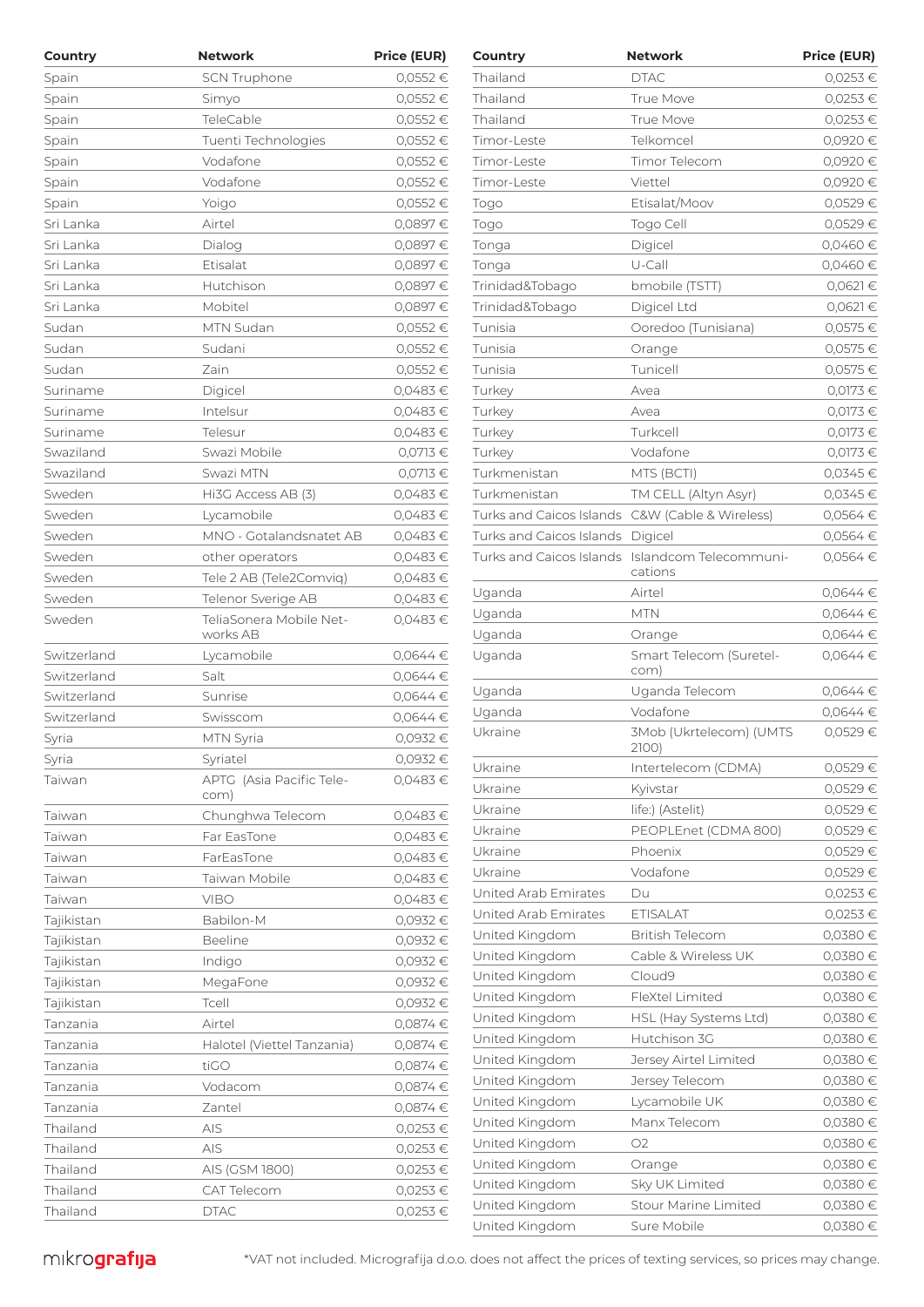| Country     | <b>Network</b>                      | <b>Price (EUR)</b> | Country                                         | <b>Network</b>                                             | <b>Price (EUR)</b> |
|-------------|-------------------------------------|--------------------|-------------------------------------------------|------------------------------------------------------------|--------------------|
| Spain       | <b>SCN Truphone</b>                 | 0,0552€            | Thailand                                        | <b>DTAC</b>                                                | 0,0253€            |
| Spain       | Simyo                               | 0,0552€            | Thailand                                        | True Move                                                  | $0,0253$ €         |
| Spain       | TeleCable                           | 0,0552€            | Thailand                                        | True Move                                                  | $0,0253$ €         |
| Spain       | Tuenti Technologies                 | 0,0552€            | Timor-Leste                                     | Telkomcel                                                  | 0,0920 €           |
| Spain       | Vodafone                            | 0,0552€            | Timor-Leste                                     | Timor Telecom                                              | 0,0920 €           |
| Spain       | Vodafone                            | 0,0552€            | Timor-Leste                                     | Viettel                                                    | 0,0920 €           |
| Spain       | Yoigo                               | 0,0552€            | Togo                                            | Etisalat/Moov                                              | 0,0529€            |
| Sri Lanka   | Airtel                              | 0,0897€            | Togo                                            | Togo Cell                                                  | 0,0529€            |
| Sri Lanka   | Dialog                              | 0,0897€            | Tonga                                           | Digicel                                                    | 0,0460 €           |
| Sri Lanka   | Etisalat                            | 0,0897€            | Tonga                                           | U-Call                                                     | 0,0460€            |
| Sri Lanka   | Hutchison                           | 0,0897€            | Trinidad&Tobago                                 | bmobile (TSTT)                                             | $0,0621$ €         |
| Sri Lanka   | Mobitel                             | 0,0897€            | Trinidad&Tobago                                 | Digicel Ltd                                                | $0,0621$ €         |
| Sudan       | MTN Sudan                           | 0,0552€            | Tunisia                                         | Ooredoo (Tunisiana)                                        | 0,0575 €           |
| Sudan       | Sudani                              | 0,0552€            | Tunisia                                         | Orange                                                     | 0,0575 €           |
| Sudan       | Zain                                | 0,0552€            | Tunisia                                         | Tunicell                                                   | 0,0575 €           |
| Suriname    | Digicel                             | 0,0483€            | Turkey                                          | Avea                                                       | 0,0173 €           |
| Suriname    | Intelsur                            | 0,0483€            | Turkey                                          | Avea                                                       | 0,0173 €           |
| Suriname    | Telesur                             | 0,0483€            | Turkey                                          | Turkcell                                                   | 0,0173 €           |
| Swaziland   | Swazi Mobile                        | 0,0713€            | Turkey                                          | Vodafone                                                   | 0,0173 €           |
| Swaziland   | Swazi MTN                           | 0,0713€            | Turkmenistan                                    | MTS (BCTI)                                                 | $0,0345$ €         |
| Sweden      | Hi3G Access AB (3)                  | 0,0483€            | Turkmenistan                                    | TM CELL (Altyn Asyr)                                       | 0,0345€            |
| Sweden      | Lycamobile                          | 0,0483€            | Turks and Caicos Islands C&W (Cable & Wireless) |                                                            | $0,0564 \in$       |
| Sweden      | MNO - Gotalandsnatet AB             | 0,0483€            | Turks and Caicos Islands Digicel                |                                                            | $0,0564 \in$       |
| Sweden      | other operators                     | 0,0483€            |                                                 | Turks and Caicos Islands Islandcom Telecommuni-<br>cations | $0,0564 \in$       |
| Sweden      | Tele 2 AB (Tele2Comviq)             | 0,0483€            | Uganda                                          | Airtel                                                     | $0,0644 \in$       |
| Sweden      | Telenor Sverige AB                  | 0,0483€            | Uganda                                          | <b>MTN</b>                                                 | $0,0644 \in$       |
| Sweden      | TeliaSonera Mobile Net-<br>works AB | 0,0483€            | Uganda                                          | Orange                                                     | $0,0644 \in$       |
| Switzerland | Lycamobile                          | $0,0644$ €         | Uganda                                          | Smart Telecom (Suretel-                                    | $0,0644 \in$       |
| Switzerland | Salt                                | $0,0644$ €         |                                                 | com)                                                       |                    |
| Switzerland | Sunrise                             | 0,0644€            | Uganda                                          | Uganda Telecom                                             | $0,0644 \in$       |
| Switzerland | Swisscom                            | $0,0644$ €         | Uganda                                          | Vodafone                                                   | 0,0644 €           |
| Syria       | MTN Syria                           | 0,0932€            | Ukraine                                         | 3Mob (Ukrtelecom) (UMTS                                    | 0,0529€            |
| Syria       | Syriatel                            | 0,0932€            |                                                 | 2100)                                                      |                    |
| Taiwan      | APTG (Asia Pacific Tele-            | 0,0483€            | Ukraine                                         | Intertelecom (CDMA)                                        | 0,0529€            |
|             | com)                                |                    | Ukraine                                         | Kyivstar                                                   | 0,0529€            |
| Taiwan      | Chunghwa Telecom                    | 0,0483€            | Ukraine                                         | life:) (Astelit)                                           | 0,0529€            |
| Taiwan      | Far EasTone                         | 0,0483€            | Ukraine                                         | PEOPLEnet (CDMA 800)                                       | 0,0529€            |
| Taiwan      | FarEasTone                          | 0,0483€            | Ukraine                                         | Phoenix                                                    | 0,0529€            |
| Taiwan      | Taiwan Mobile                       | 0,0483€            | Ukraine                                         | Vodafone                                                   | 0,0529€            |
| Taiwan      | <b>VIBO</b>                         | 0,0483€            | United Arab Emirates                            | Du                                                         | $0,0253$ €         |
| Tajikistan  | Babilon-M                           | 0,0932€            | United Arab Emirates                            | <b>ETISALAT</b>                                            | $0,0253$ €         |
| Tajikistan  | <b>Beeline</b>                      | 0,0932€            | United Kingdom                                  | <b>British Telecom</b>                                     | 0,0380 €           |
| Tajikistan  | Indigo                              | 0,0932€            | United Kingdom                                  | Cable & Wireless UK                                        | 0,0380 €           |
| Tajikistan  | MegaFone                            | 0,0932€            | United Kingdom                                  | Cloud9                                                     | 0,0380 €           |
| Tajikistan  | Tcell                               | 0,0932€            | United Kingdom                                  | FleXtel Limited                                            | 0,0380 €           |
| Tanzania    | Airtel                              | 0,0874€            | United Kingdom                                  | HSL (Hay Systems Ltd)                                      | 0,0380 €           |
| Tanzania    | Halotel (Viettel Tanzania)          | 0,0874€            | United Kingdom                                  | Hutchison 3G                                               | 0,0380 €           |
| Tanzania    | tiGO                                | 0,0874€            | United Kingdom                                  | Jersey Airtel Limited                                      | 0,0380 €           |
| Tanzania    | Vodacom                             | 0,0874€            | United Kingdom                                  | Jersey Telecom                                             | 0,0380 €           |
| Tanzania    | Zantel                              | 0,0874€            | United Kingdom                                  | Lycamobile UK                                              | 0,0380 €           |
| Thailand    | AIS                                 | 0,0253 €           | United Kingdom                                  | Manx Telecom                                               | 0,0380 €           |
| Thailand    | AIS                                 | 0,0253€            | United Kingdom                                  | O <sub>2</sub>                                             | 0,0380 €           |
| Thailand    | AIS (GSM 1800)                      | 0,0253 €           | United Kingdom                                  | Orange                                                     | 0,0380 €           |
| Thailand    | CAT Telecom                         | 0,0253€            | United Kingdom                                  | Sky UK Limited                                             | 0,0380 €           |
| Thailand    | <b>DTAC</b>                         | $0,0253 \in$       | United Kingdom                                  | Stour Marine Limited                                       | 0,0380 €           |

| Country                  | Network                           | <b>Price (EUR)</b> |
|--------------------------|-----------------------------------|--------------------|
| Thailand                 | <b>DTAC</b>                       | 0,0253€            |
| Thailand                 | <b>True Move</b>                  | 0,0253€            |
| Thailand                 | True Move                         | 0,0253€            |
| Timor-Leste              | Telkomcel                         | 0,0920 €           |
| Timor-Leste              | Timor Telecom                     | 0,0920€            |
| Timor-Leste              | Viettel                           | 0,0920€            |
| Togo                     | Etisalat/Moov                     | 0,0529€            |
| Togo                     | Togo Cell                         | 0,0529€            |
| Tonga                    | Digicel                           | 0,0460€            |
| Tonga                    | U-Call                            | 0,0460€            |
| Trinidad&Tobago          | bmobile (TSTT)                    | $0,0621 \in$       |
| Trinidad&Tobago          | Digicel Ltd                       | $0,0621 \in$       |
| Tunisia                  | Ooredoo (Tunisiana)               | 0,0575€            |
| Tunisia                  | Orange                            | 0,0575 €           |
| Tunisia                  | Tunicell                          | 0,0575 €           |
| Turkey                   | Avea                              | $0,0173 \in$       |
| Turkey                   | Avea                              | $0,0173 \in$       |
| Turkey                   | Turkcell                          | 0,0173€            |
| Turkey                   | Vodafone                          | $0,0173 \in$       |
| Turkmenistan             | MTS (BCTI)                        | 0,0345 €           |
| Turkmenistan             | TM CELL (Altyn Asyr)              | $0,0345 \in$       |
| Turks and Caicos Islands | C&W (Cable & Wireless)            | 0,0564€            |
| Turks and Caicos Islands | Digicel                           | 0,0564€            |
| Turks and Caicos Islands | Islandcom Telecommuni-<br>cations | 0,0564€            |
| Uganda                   | Airtel                            | 0,0644€            |
| Uganda                   | MTN                               | 0,0644€            |
| Uganda                   | Orange                            | $0,0644$ €         |
| Uganda                   | Smart Telecom (Suretel-<br>com)   | 0,0644€            |
| Uganda                   | Uganda Telecom                    | 0,0644€            |
| Uganda                   | Vodafone                          | 0,0644€            |
| Ukraine                  | 3Mob (Ukrtelecom) (UMTS<br>2100)  | 0,0529€            |
| Ukraine                  | Intertelecom (CDMA)               | 0,0529€            |
| Ukraine                  | Kyivstar                          | 0,0529€            |
| Ukraine                  | life:) (Astelit)                  | 0,0529€            |
| Ukraine                  | PEOPLEnet (CDMA 800)              | 0,0529€            |
| Ukraine                  | Phoenix                           | 0,0529€            |
| Ukraine                  | Vodafone                          | 0,0529€            |
| United Arab Emirates     | Du                                | 0,0253€            |
| United Arab Emirates     | <b>ETISALAT</b>                   | 0,0253€            |
| United Kingdom           | British Telecom                   | 0,0380€            |
| United Kingdom           | Cable & Wireless UK               | 0,0380€            |
| United Kingdom           | Cloud9                            | 0,0380€            |
| United Kingdom           | FleXtel Limited                   | 0,0380€            |
| United Kingdom           | HSL (Hay Systems Ltd)             | 0,0380€            |
| United Kingdom           | Hutchison 3G                      | 0,0380€            |
| United Kingdom           | Jersey Airtel Limited             | 0,0380€            |
| United Kingdom           | Jersey Telecom                    | 0,0380€            |
| United Kingdom           | Lycamobile UK                     | 0,0380€            |
| United Kingdom           | Manx Telecom                      | 0,0380€            |
| United Kingdom           | O2                                | 0,0380€            |
| United Kingdom           | Orange                            | 0,0380€            |
| United Kingdom           | Sky UK Limited                    | 0,0380€            |
| United Kingdom           | Stour Marine Limited              | 0,0380€            |
| United Kingdom           | Sure Mobile                       | 0,0380 €           |

 $\text{mikro}$